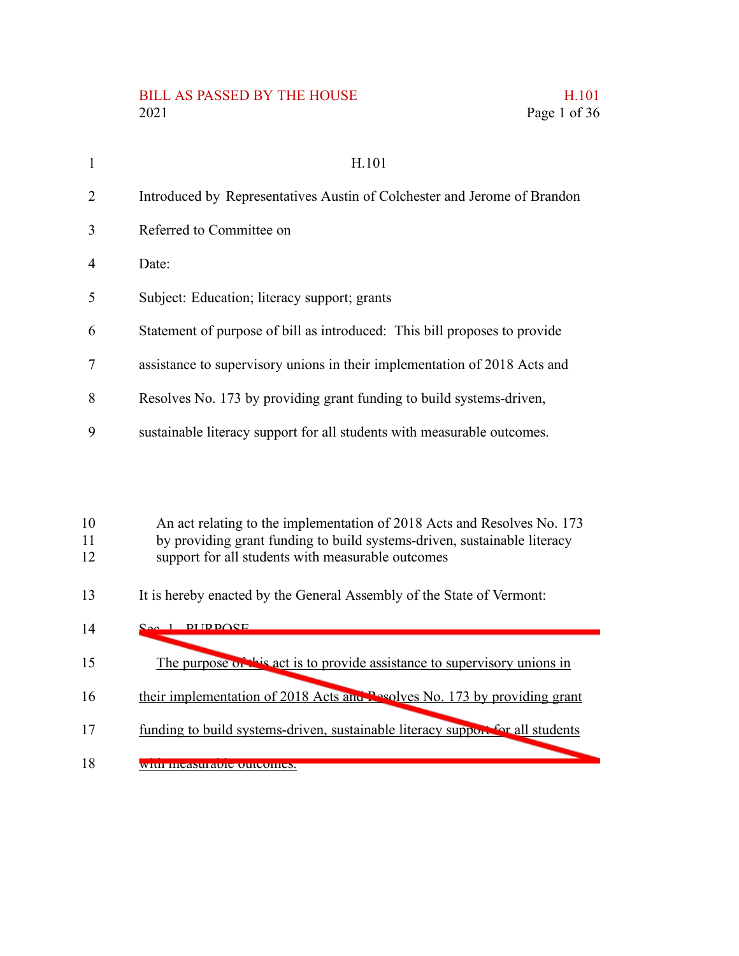## BILL AS PASSED BY THE HOUSE H.101 2021 Page 1 of 36

| $\mathbf{1}$   | H.101                                                                     |
|----------------|---------------------------------------------------------------------------|
| 2              | Introduced by Representatives Austin of Colchester and Jerome of Brandon  |
| 3              | Referred to Committee on                                                  |
| $\overline{4}$ | Date:                                                                     |
| 5              | Subject: Education; literacy support; grants                              |
| 6              | Statement of purpose of bill as introduced: This bill proposes to provide |
| 7              | assistance to supervisory unions in their implementation of 2018 Acts and |
| 8              | Resolves No. 173 by providing grant funding to build systems-driven,      |
| 9              | sustainable literacy support for all students with measurable outcomes.   |

An act relating to the implementation of 2018 Acts and Resolves No. 173 10

- by providing grant funding to build systems-driven, sustainable literacy support for all students with measurable outcomes 11 12
- 
- It is hereby enacted by the General Assembly of the State of Vermont: 13

| 14 | <b>DI ID DANE</b><br>$\Omega_{\alpha\alpha}$ 1                                 |
|----|--------------------------------------------------------------------------------|
| 15 | The purpose of this act is to provide assistance to supervisory unions in      |
| 16 | their implementation of 2018 Acts and Pesolves No. 173 by providing grant      |
| 17 | funding to build systems-driven, sustainable literacy support for all students |
| 18 |                                                                                |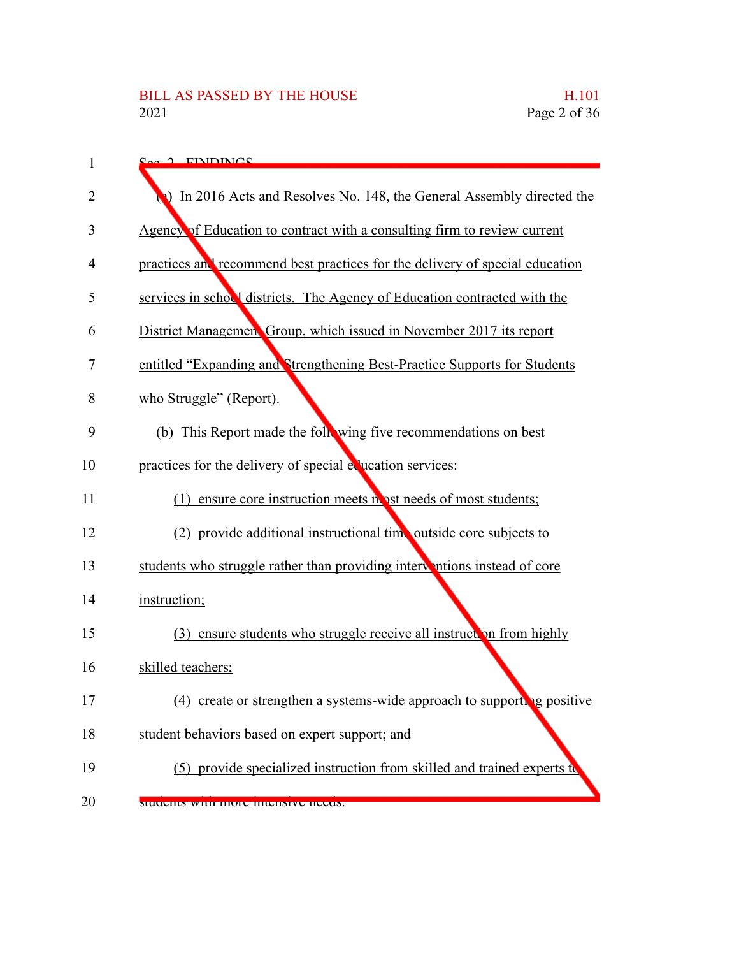| 1  | $S_{\alpha\alpha}$ $\alpha$ EINDINGS                                         |
|----|------------------------------------------------------------------------------|
| 2  | () In 2016 Acts and Resolves No. 148, the General Assembly directed the      |
| 3  | Agency of Education to contract with a consulting firm to review current     |
| 4  | practices and recommend best practices for the delivery of special education |
| 5  | services in school districts. The Agency of Education contracted with the    |
| 6  | District Managemen Group, which issued in November 2017 its report           |
| 7  | entitled "Expanding and Strengthening Best-Practice Supports for Students    |
| 8  | who Struggle" (Report).                                                      |
| 9  | (b) This Report made the following five recommendations on best              |
| 10 | practices for the delivery of special equation services:                     |
| 11 | (1) ensure core instruction meets no ost needs of most students;             |
| 12 | (2) provide additional instructional time outside core subjects to           |
| 13 | students who struggle rather than providing interventions instead of core    |
| 14 | instruction;                                                                 |
| 15 | (3) ensure students who struggle receive all instruct on from highly         |
| 16 | skilled teachers;                                                            |
| 17 | (4)<br>create or strengthen a systems-wide approach to supporting positive   |
| 18 | student behaviors based on expert support; and                               |
| 19 | (5) provide specialized instruction from skilled and trained experts to      |
| 20 | students with more intensive needs.                                          |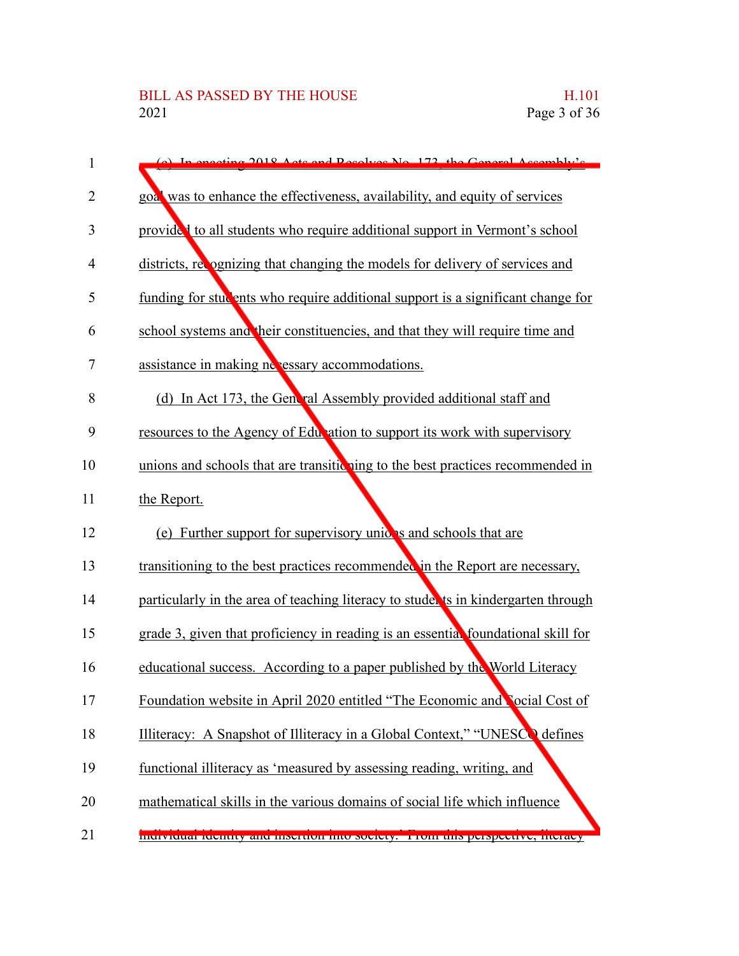| 1  | (c) In engeting 2018, Acts and Resolves No. 173, the General Assembly's           |
|----|-----------------------------------------------------------------------------------|
| 2  | goal was to enhance the effectiveness, availability, and equity of services       |
| 3  | provided to all students who require additional support in Vermont's school       |
| 4  | districts, recognizing that changing the models for delivery of services and      |
| 5  | funding for students who require additional support is a significant change for   |
| 6  | school systems and their constituencies, and that they will require time and      |
| 7  | assistance in making nevessary accommodations.                                    |
| 8  | (d) In Act 173, the General Assembly provided additional staff and                |
| 9  | resources to the Agency of Education to support its work with supervisory         |
| 10 | unions and schools that are transitic ning to the best practices recommended in   |
| 11 | the Report.                                                                       |
| 12 | (e) Further support for supervisory unide is and schools that are                 |
| 13 | transitioning to the best practices recommended in the Report are necessary,      |
| 14 | particularly in the area of teaching literacy to stude is in kindergarten through |
| 15 | grade 3, given that proficiency in reading is an essential foundational skill for |
| 16 | educational success. According to a paper published by the World Literacy         |
| 17 | Foundation website in April 2020 entitled "The Economic and Nocial Cost of        |
| 18 | Illiteracy: A Snapshot of Illiteracy in a Global Context," "UNESCO defines        |
| 19 | functional illiteracy as 'measured by assessing reading, writing, and             |
| 20 | mathematical skills in the various domains of social life which influence         |
| 21 | menvietuai lucituty and mscruon mto society. Trom uns perspective, incracy        |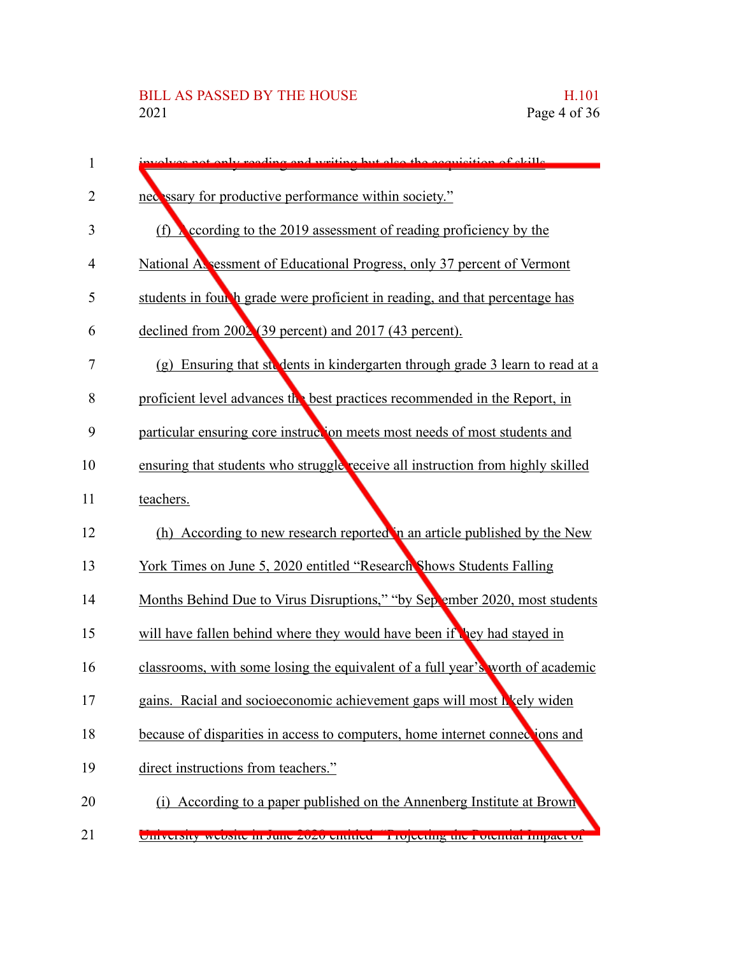| $\mathbf{1}$   | reading and writing but also the acquisition of skills                           |
|----------------|----------------------------------------------------------------------------------|
| 2              | necessary for productive performance within society."                            |
| 3              | (f) $\chi$ ecording to the 2019 assessment of reading proficiency by the         |
| $\overline{4}$ | National Assessment of Educational Progress, only 37 percent of Vermont          |
| 5              | students in four h grade were proficient in reading, and that percentage has     |
| 6              | declined from $200\sqrt{2}(39 \text{ percent})$ and $2017(43 \text{ percent})$ . |
| $\overline{7}$ | (g) Ensuring that ste dents in kindergarten through grade 3 learn to read at a   |
| 8              | proficient level advances the best practices recommended in the Report, in       |
| 9              | particular ensuring core instruction meets most needs of most students and       |
| 10             | ensuring that students who struggle receive all instruction from highly skilled  |
| 11             | teachers.                                                                        |
| 12             | (h) According to new research reported in an article published by the New        |
| 13             | York Times on June 5, 2020 entitled "Research Shows Students Falling             |
| 14             | Months Behind Due to Virus Disruptions," "by Sep ember 2020, most students       |
| 15             | will have fallen behind where they would have been if they had stayed in         |
| 16             | classrooms, with some losing the equivalent of a full year's worth of academic   |
| 17             | gains. Racial and socioeconomic achievement gaps will most hely widen            |
| 18             | because of disparities in access to computers, home internet connections and     |
| 19             | direct instructions from teachers."                                              |
| 20             | (i) According to a paper published on the Annenberg Institute at Brown           |
| 21             | University website in June 2020 charted Tropeeing the Fotential impact of        |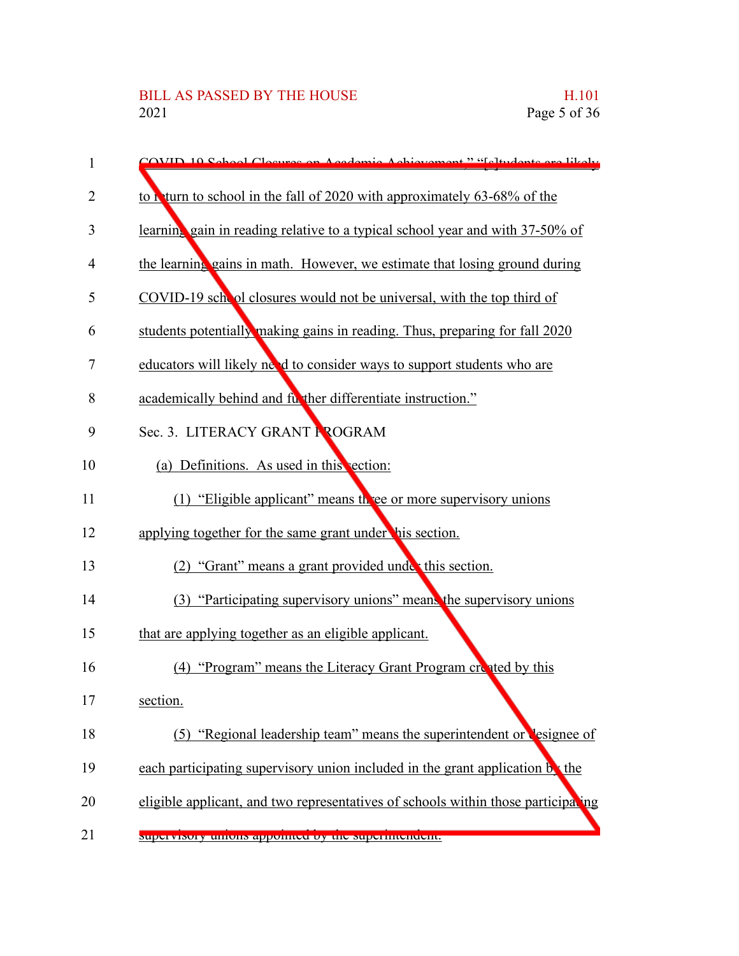| $\mathbf{1}$   | COVID 10 School Closures on Academic Achievement " "Celtudents are likely         |
|----------------|-----------------------------------------------------------------------------------|
| $\overline{2}$ | to return to school in the fall of 2020 with approximately 63-68% of the          |
| 3              | learning gain in reading relative to a typical school year and with 37-50% of     |
| 4              | the learning gains in math. However, we estimate that losing ground during        |
| 5              | COVID-19 school closures would not be universal, with the top third of            |
| 6              | students potentially making gains in reading. Thus, preparing for fall 2020       |
| 7              | educators will likely need to consider ways to support students who are           |
| 8              | academically behind and further differentiate instruction."                       |
| 9              | Sec. 3. LITERACY GRANT FROGRAM                                                    |
| 10             | (a) Definitions. As used in this vection:                                         |
| 11             | (1) "Eligible applicant" means three or more supervisory unions                   |
| 12             | applying together for the same grant under his section.                           |
| 13             | (2) "Grant" means a grant provided under this section.                            |
| 14             | (3) "Participating supervisory unions" means the supervisory unions               |
| 15             | that are applying together as an eligible applicant.                              |
| 16             | (4) "Program" means the Literacy Grant Program created by this                    |
| 17             | section.                                                                          |
| 18             | (5) "Regional leadership team" means the superintendent or lesignee of            |
| 19             | each participating supervisory union included in the grant application by the     |
| 20             | eligible applicant, and two representatives of schools within those participating |
| 21             | supervisory unions appointed by the supermichaem.                                 |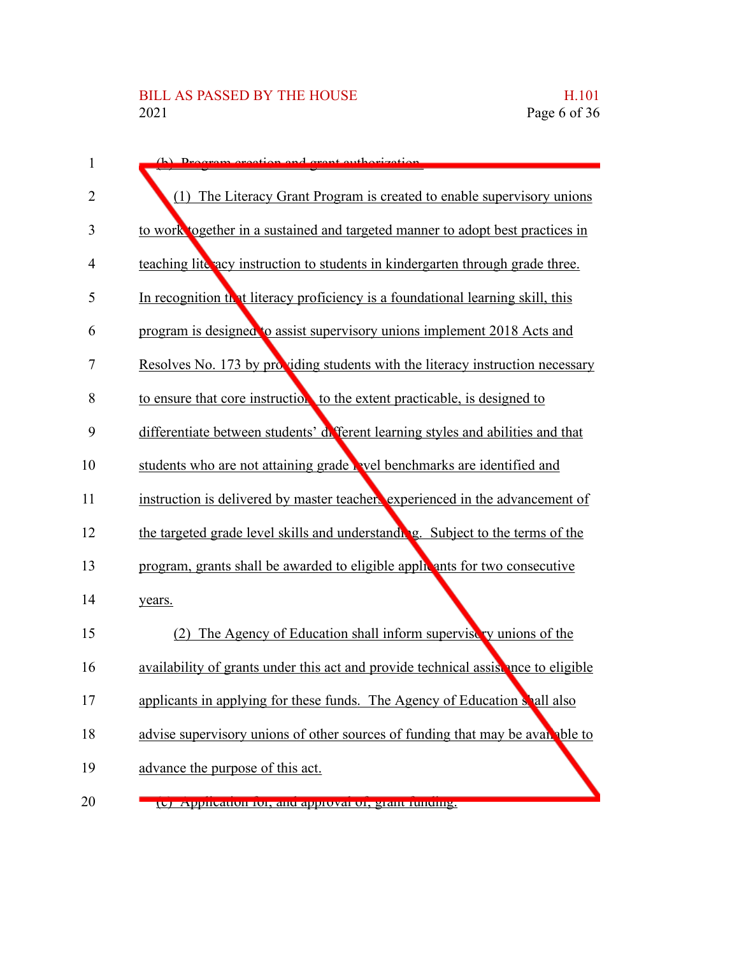| 1              | (h) Dragram greation and grant outhorization                                       |
|----------------|------------------------------------------------------------------------------------|
| $\overline{2}$ | (1) The Literacy Grant Program is created to enable supervisory unions             |
| 3              | to work together in a sustained and targeted manner to adopt best practices in     |
| 4              | teaching lite acy instruction to students in kindergarten through grade three.     |
| 5              | In recognition that literacy proficiency is a foundational learning skill, this    |
| 6              | program is designed to assist supervisory unions implement 2018 Acts and           |
| 7              | Resolves No. 173 by providing students with the literacy instruction necessary     |
| 8              | to ensure that core instruction to the extent practicable, is designed to          |
| 9              | differentiate between students' different learning styles and abilities and that   |
| 10             | students who are not attaining grade wel benchmarks are identified and             |
| 11             | instruction is delivered by master teachers experienced in the advancement of      |
| 12             | the targeted grade level skills and understanding. Subject to the terms of the     |
| 13             | program, grants shall be awarded to eligible apply ants for two consecutive        |
| 14             | years.                                                                             |
| 15             | The Agency of Education shall inform supervise v unions of the<br>(2)              |
| 16             | availability of grants under this act and provide technical assistance to eligible |
| 17             | applicants in applying for these funds. The Agency of Education shall also         |
| 18             | advise supervisory unions of other sources of funding that may be avan able to     |
| 19             | advance the purpose of this act.                                                   |
| 20             | (v) Application for, and approval of, grant funding.                               |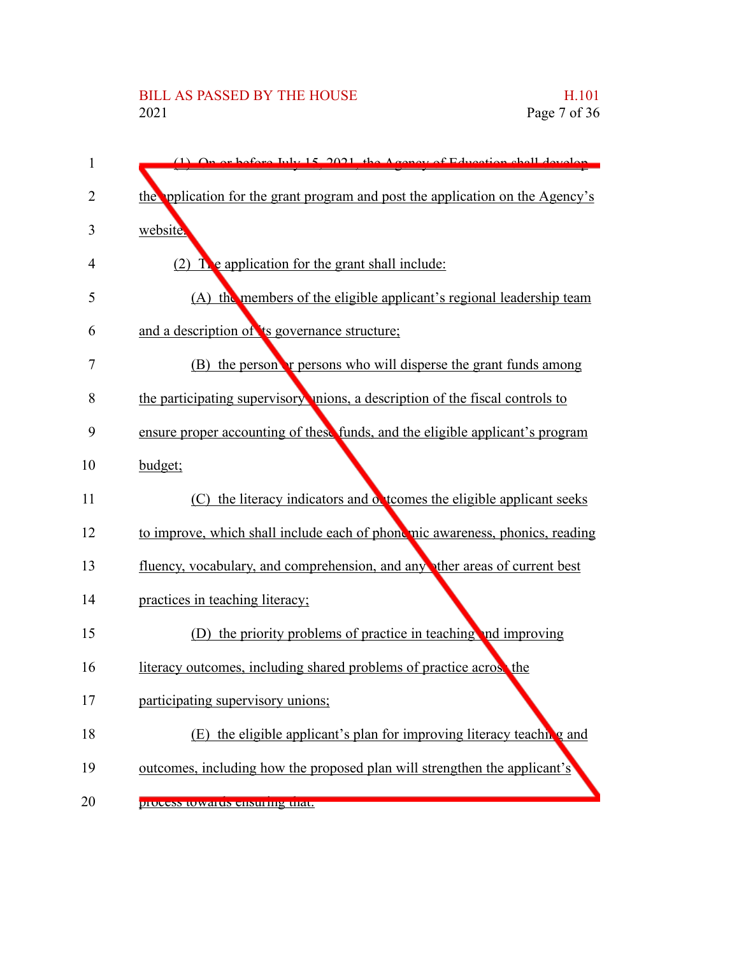| $\mathbf{1}$ | $(1)$ On or before July 15, 2021, the Agency of Education shall develop       |
|--------------|-------------------------------------------------------------------------------|
| 2            | the pplication for the grant program and post the application on the Agency's |
| 3            | website.                                                                      |
| 4            | $(2)$ T e application for the grant shall include:                            |
| 5            | (A) the members of the eligible applicant's regional leadership team          |
| 6            | and a description of its governance structure;                                |
| 7            | (B) the person <b>r</b> persons who will disperse the grant funds among       |
| 8            | the participating supervisory unions, a description of the fiscal controls to |
| 9            | ensure proper accounting of these funds, and the eligible applicant's program |
| 10           | budget;                                                                       |
| 11           | (C) the literacy indicators and obtcomes the eligible applicant seeks         |
| 12           | to improve, which shall include each of phonomic awareness, phonics, reading  |
| 13           | fluency, vocabulary, and comprehension, and any ther areas of current best    |
| 14           | practices in teaching literacy;                                               |
| 15           | (D) the priority problems of practice in teaching and improving               |
| 16           | literacy outcomes, including shared problems of practice across the           |
| 17           | participating supervisory unions;                                             |
| 18           | (E) the eligible applicant's plan for improving literacy teaching and         |
| 19           | outcomes, including how the proposed plan will strengthen the applicant's     |
| 20           | process towards ensuring that.                                                |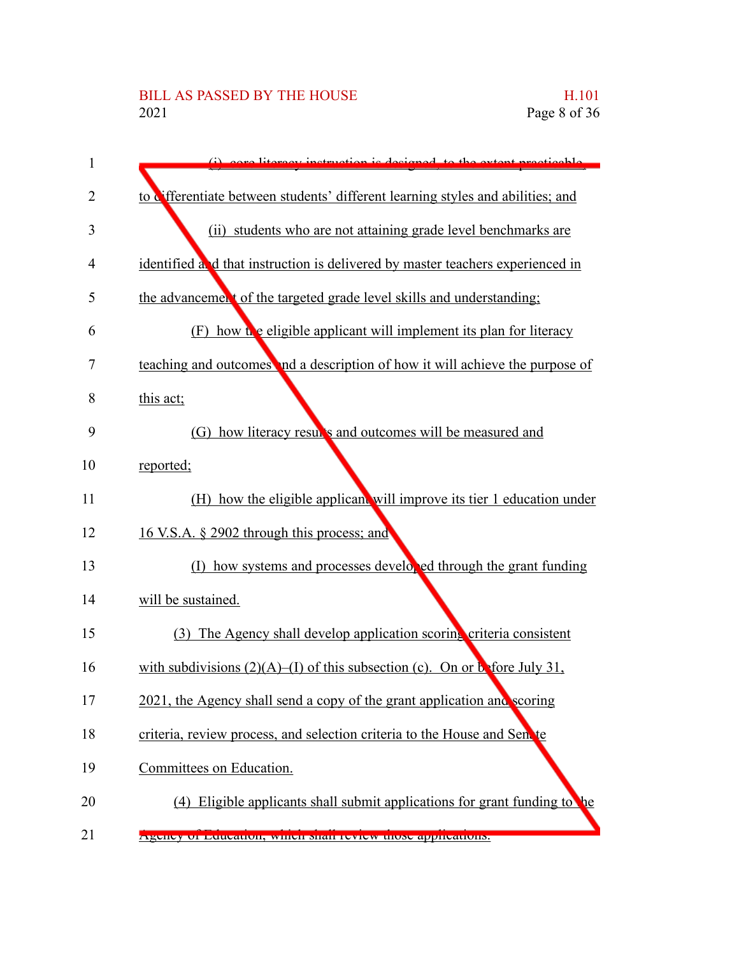## BILL AS PASSED BY THE HOUSE H.101<br>2021 Page 8 of 36

| $\mathbf{1}$   | core literacy instruction is designed to the extent practicable                          |
|----------------|------------------------------------------------------------------------------------------|
| 2              | to differentiate between students' different learning styles and abilities; and          |
| 3              | (ii) students who are not attaining grade level benchmarks are                           |
| $\overline{4}$ | identified and that instruction is delivered by master teachers experienced in           |
| 5              | the advancement of the targeted grade level skills and understanding;                    |
| 6              | (F) how the eligible applicant will implement its plan for literacy                      |
| 7              | teaching and outcomes and a description of how it will achieve the purpose of            |
| 8              | this act;                                                                                |
| 9              | (G) how literacy results and outcomes will be measured and                               |
| 10             | reported;                                                                                |
| 11             | (H) how the eligible applicant will improve its tier 1 education under                   |
| 12             | 16 V.S.A. § 2902 through this process; and                                               |
| 13             | (I) how systems and processes developed through the grant funding                        |
| 14             | will be sustained.                                                                       |
| 15             | (3) The Agency shall develop application scoring criteria consistent                     |
| 16             | with subdivisions $(2)(A)$ –(I) of this subsection (c). On or before July 31,            |
| 17             | 2021, the Agency shall send a copy of the grant application and scoring                  |
| 18             | criteria, review process, and selection criteria to the House and Senate                 |
| 19             | Committees on Education.                                                                 |
| 20             | (4) Eligible applicants shall submit applications for grant funding to<br>$\mathbf{h}$ e |
| 21             | Agency of Education, which shall fevrew those applications.                              |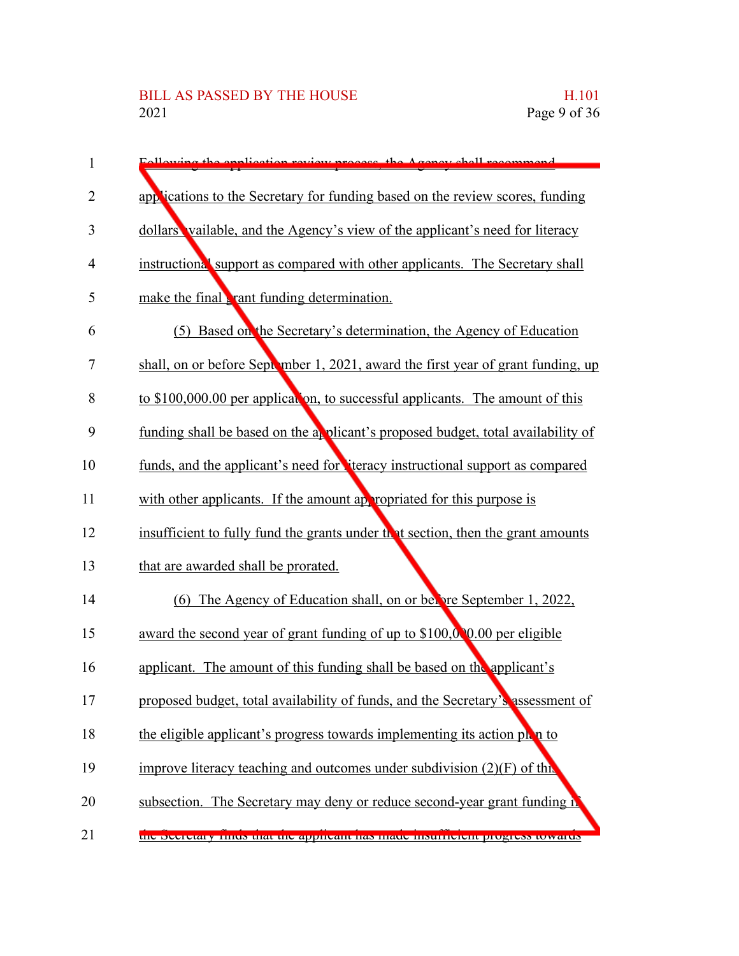| $\mathbf{1}$   | Following the englication review process the<br>Agonov shall recommend           |
|----------------|----------------------------------------------------------------------------------|
| $\overline{2}$ | applications to the Secretary for funding based on the review scores, funding    |
| 3              | dollars vailable, and the Agency's view of the applicant's need for literacy     |
| $\overline{4}$ | instructional support as compared with other applicants. The Secretary shall     |
| 5              | make the final <b>t</b> rant funding determination.                              |
| 6              | (5) Based on the Secretary's determination, the Agency of Education              |
| 7              | shall, on or before September 1, 2021, award the first year of grant funding, up |
| 8              | to \$100,000.00 per application, to successful applicants. The amount of this    |
| 9              | funding shall be based on the a plicant's proposed budget, total availability of |
| 10             | funds, and the applicant's need for terracy instructional support as compared    |
| 11             | with other applicants. If the amount appropriated for this purpose is            |
| 12             | insufficient to fully fund the grants under that section, then the grant amounts |
| 13             | that are awarded shall be prorated.                                              |
| 14             | (6) The Agency of Education shall, on or below September 1, 2022,                |
| 15             | award the second year of grant funding of up to \$100,000.00 per eligible        |
| 16             | applicant. The amount of this funding shall be based on the applicant's          |
| 17             | proposed budget, total availability of funds, and the Secretary's assessment of  |
| 18             | the eligible applicant's progress towards implementing its action plan to        |
| 19             | improve literacy teaching and outcomes under subdivision $(2)(F)$ of this        |
| 20             | subsection. The Secretary may deny or reduce second-year grant funding n         |
| 21             | the Secretary muus that the appheant has made msumolent progress towards         |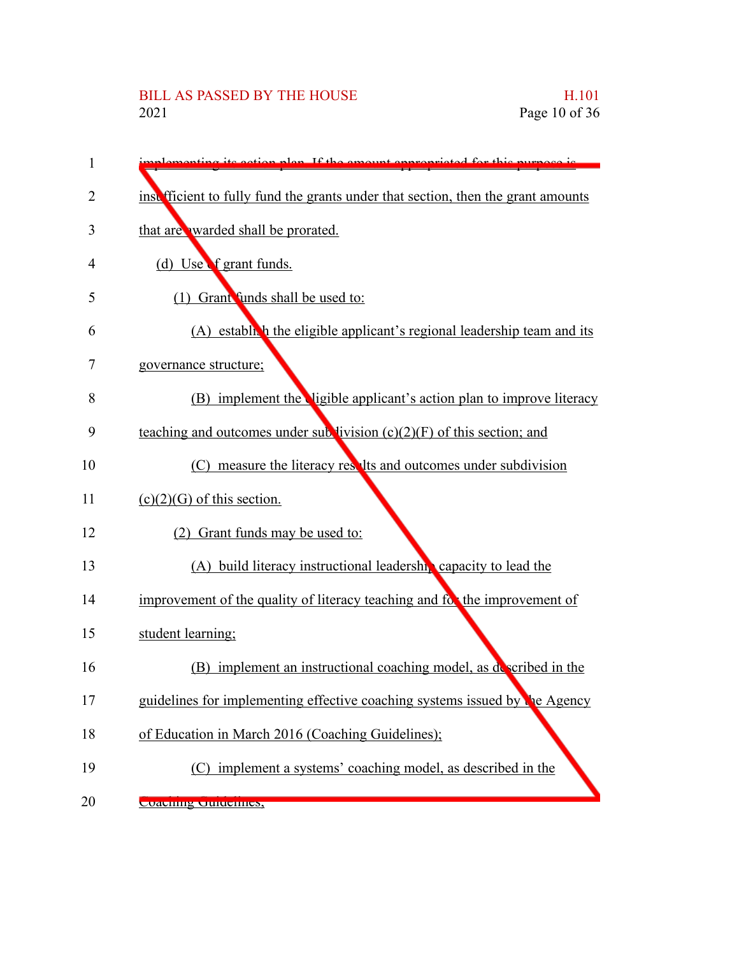## BILL AS PASSED BY THE HOUSE H.101 Page 10 of 36

| 1  | oction plan If the amount of                                                          |
|----|---------------------------------------------------------------------------------------|
| 2  | instribut ficient to fully fund the grants under that section, then the grant amounts |
| 3  | that are warded shall be prorated.                                                    |
| 4  | (d) Use f grant funds.                                                                |
| 5  | (1) Grant funds shall be used to:                                                     |
| 6  | $(A)$ estable to the eligible applicant's regional leadership team and its            |
| 7  | governance structure;                                                                 |
| 8  | (B) implement the ligible applicant's action plan to improve literacy                 |
| 9  | teaching and outcomes under subvivision $(c)(2)(F)$ of this section; and              |
| 10 | (C) measure the literacy results and outcomes under subdivision                       |
| 11 | $(c)(2)(G)$ of this section.                                                          |
| 12 | (2) Grant funds may be used to:                                                       |
| 13 | (A) build literacy instructional leadership capacity to lead the                      |
| 14 | improvement of the quality of literacy teaching and for the improvement of            |
| 15 | student learning;                                                                     |
| 16 | (B) implement an instructional coaching model, as described in the                    |
| 17 | guidelines for implementing effective coaching systems issued by the Agency           |
| 18 | of Education in March 2016 (Coaching Guidelines);                                     |
| 19 | (C) implement a systems' coaching model, as described in the                          |
| 20 | Coaching Culturines,                                                                  |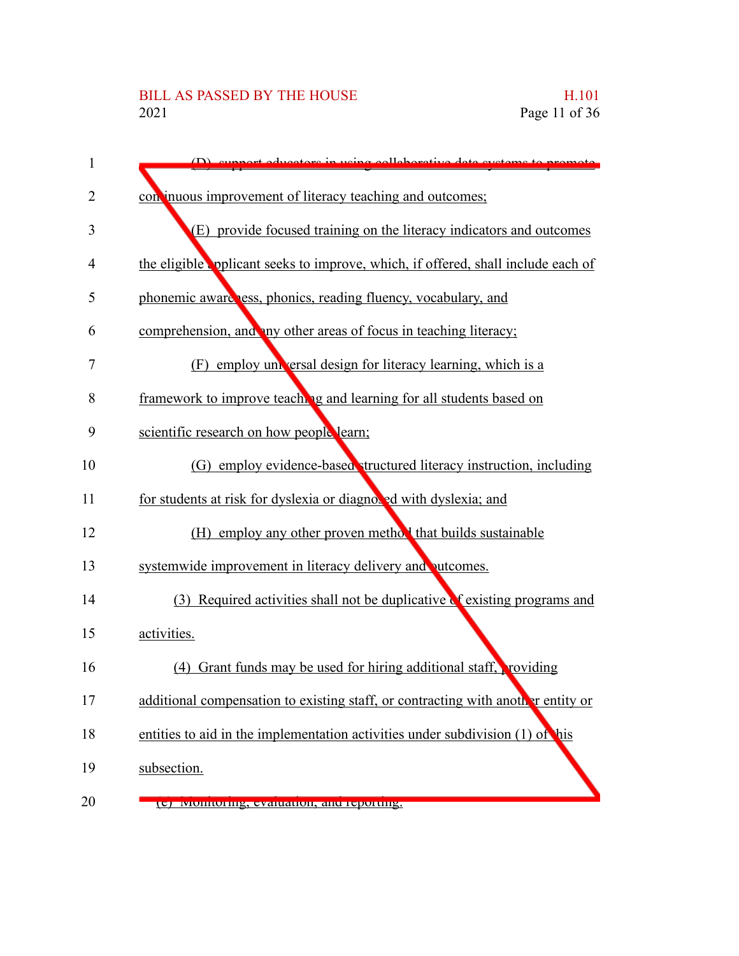| $\mathbf{1}$ | (D) cunnert educators in using collaborative data systems to promote              |
|--------------|-----------------------------------------------------------------------------------|
| 2            | con inuous improvement of literacy teaching and outcomes;                         |
| 3            | (E) provide focused training on the literacy indicators and outcomes              |
| 4            | the eligible opplicant seeks to improve, which, if offered, shall include each of |
| 5            | phonemic aware ress, phonics, reading fluency, vocabulary, and                    |
| 6            | comprehension, and my other areas of focus in teaching literacy;                  |
| 7            | employ universal design for literacy learning, which is a<br>(F)                  |
| 8            | framework to improve teaching and learning for all students based on              |
| 9            | scientific research on how people learn;                                          |
| 10           | (G) employ evidence-based tructured literacy instruction, including               |
| 11           | for students at risk for dyslexia or diagnosed with dyslexia; and                 |
| 12           | (H) employ any other proven method that builds sustainable                        |
| 13           | systemwide improvement in literacy delivery and putcomes.                         |
| 14           | Required activities shall not be duplicative of existing programs and<br>(3)      |
| 15           | activities.                                                                       |
| 16           | (4) Grant funds may be used for hiring additional staff, providing                |
| 17           | additional compensation to existing staff, or contracting with another entity or  |
| 18           | entities to aid in the implementation activities under subdivision (1) of his     |
| 19           | subsection.                                                                       |
| 20           | (c) with the cyantation, and reporting.                                           |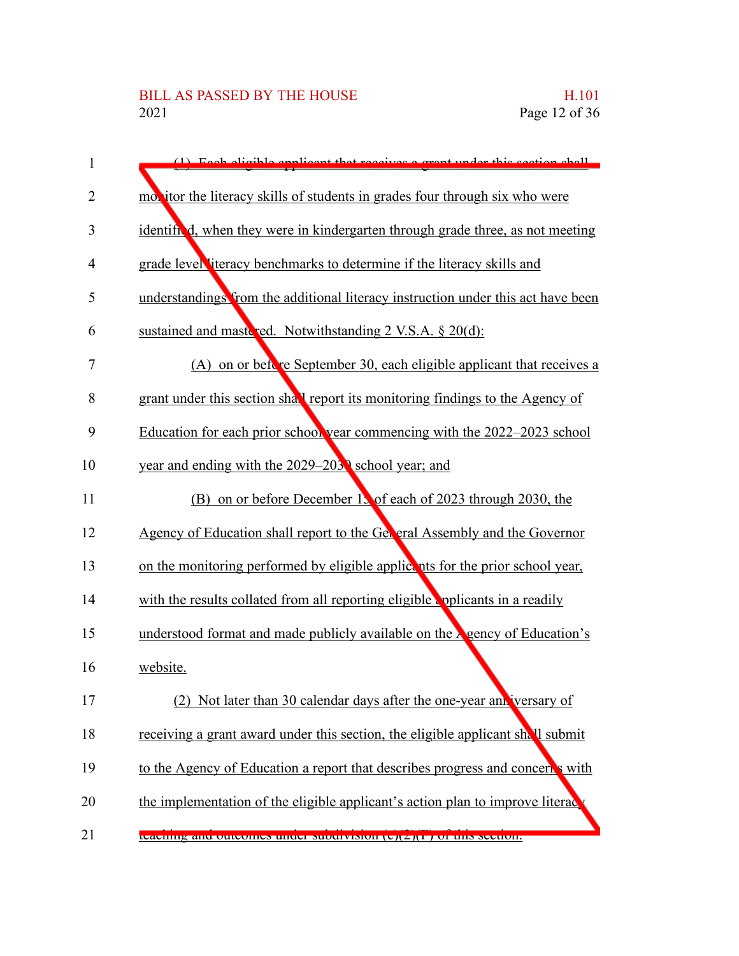| 1  | (1) Each eligible englished that receives a great under this section shall        |
|----|-----------------------------------------------------------------------------------|
| 2  | mobit it is in grades four through six who were                                   |
| 3  | identified, when they were in kindergarten through grade three, as not meeting    |
| 4  | grade level literacy benchmarks to determine if the literacy skills and           |
| 5  | understandings from the additional literacy instruction under this act have been  |
| 6  | sustained and mastered. Notwithstanding 2 V.S.A. § 20(d):                         |
| 7  | (A) on or before September 30, each eligible applicant that receives a            |
| 8  | grant under this section shall report its monitoring findings to the Agency of    |
| 9  | Education for each prior school year commencing with the 2022–2023 school         |
| 10 | year and ending with the 2029–2030 school year; and                               |
| 11 | (B) on or before December 13 of each of 2023 through 2030, the                    |
| 12 | Agency of Education shall report to the Gelleral Assembly and the Governor        |
| 13 | on the monitoring performed by eligible applicents for the prior school year,     |
| 14 | with the results collated from all reporting eligible applicants in a readily     |
| 15 | understood format and made publicly available on the Agency of Education's        |
| 16 | website.                                                                          |
| 17 | (2)<br>Not later than 30 calendar days after the one-year ann versary of          |
| 18 | receiving a grant award under this section, the eligible applicant shall submit   |
| 19 | to the Agency of Education a report that describes progress and concerts with     |
| 20 | the implementation of the eligible applicant's action plan to improve literaction |
| 21 | teaching and outcomes under subdivision (C)(Z)(P) or this seculon.                |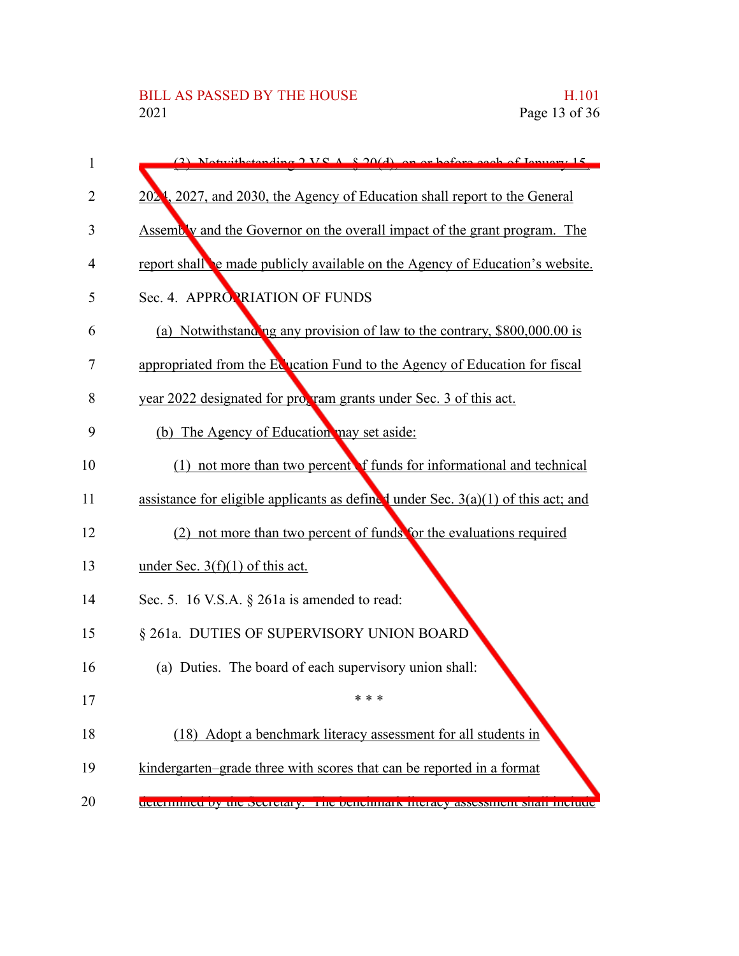| $\mathbf{1}$ | $(2)$ Notwithstanding $2 \text{ V} S$ $\Lambda$ $8.20(d)$ on or before each of Isnuary 15 |
|--------------|-------------------------------------------------------------------------------------------|
| 2            | 2024, 2027, and 2030, the Agency of Education shall report to the General                 |
| 3            | Assembly and the Governor on the overall impact of the grant program. The                 |
| 4            | report shall be made publicly available on the Agency of Education's website.             |
| 5            | Sec. 4. APPROPRIATION OF FUNDS                                                            |
| 6            | (a) Notwithstanding any provision of law to the contrary, \$800,000.00 is                 |
| 7            | appropriated from the Equation Fund to the Agency of Education for fiscal                 |
| 8            | year 2022 designated for propram grants under Sec. 3 of this act.                         |
| 9            | (b) The Agency of Education may set aside:                                                |
| 10           | (1) not more than two percent f funds for informational and technical                     |
| 11           | assistance for eligible applicants as defined under Sec. $3(a)(1)$ of this act; and       |
| 12           | (2) not more than two percent of funds for the evaluations required                       |
| 13           | under Sec. $3(f)(1)$ of this act.                                                         |
| 14           | Sec. 5. 16 V.S.A. $\S$ 261a is amended to read:                                           |
| 15           | § 261a. DUTIES OF SUPERVISORY UNION BOARD                                                 |
| 16           | (a) Duties. The board of each supervisory union shall:                                    |
| 17           | * * *                                                                                     |
| 18           | (18) Adopt a benchmark literacy assessment for all students in                            |
| 19           | kindergarten-grade three with scores that can be reported in a format                     |
| 20           | uctermined by the Secretary. The benemiark meracy assessment share include                |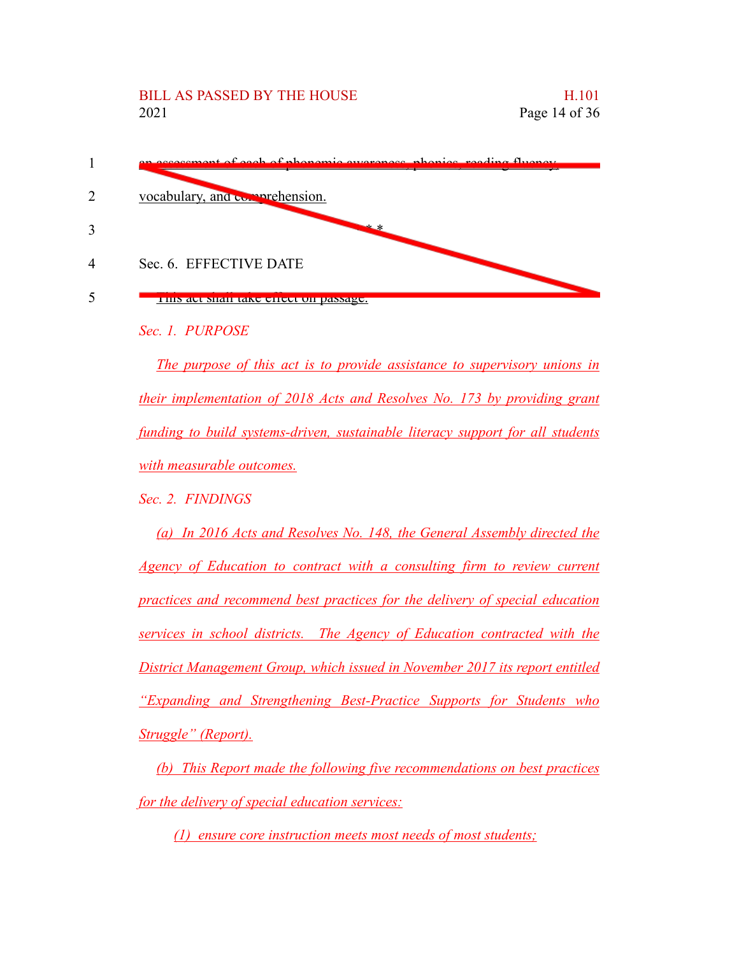

*Sec. 1. PURPOSE*

*The purpose of this act is to provide assistance to supervisory unions in their implementation of 2018 Acts and Resolves No. 173 by providing grant funding to build systems-driven, sustainable literacy support for all students with measurable outcomes.*

*Sec. 2. FINDINGS*

*(a) In 2016 Acts and Resolves No. 148, the General Assembly directed the Agency of Education to contract with a consulting firm to review current practices and recommend best practices for the delivery of special education services in school districts. The Agency of Education contracted with the District Management Group, which issued in November 2017 its report entitled "Expanding and Strengthening Best-Practice Supports for Students who Struggle" (Report).*

*(b) This Report made the following five recommendations on best practices for the delivery of special education services:*

*(1) ensure core instruction meets most needs of most students;*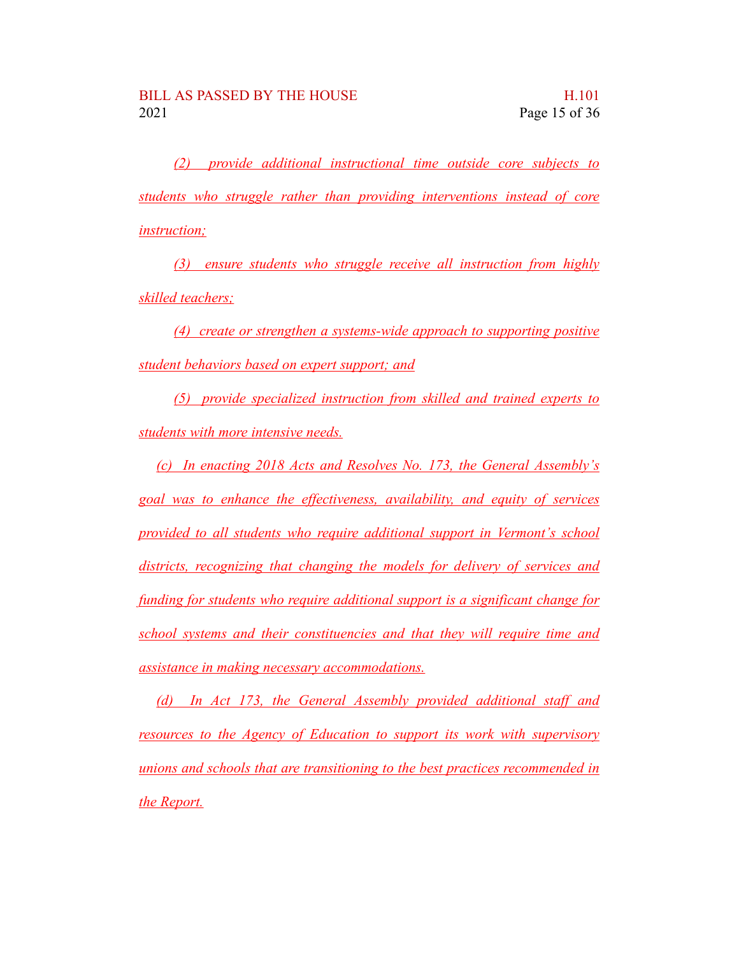*(2) provide additional instructional time outside core subjects to students who struggle rather than providing interventions instead of core instruction;*

*(3) ensure students who struggle receive all instruction from highly skilled teachers;*

*(4) create or strengthen a systems-wide approach to supporting positive student behaviors based on expert support; and*

*(5) provide specialized instruction from skilled and trained experts to students with more intensive needs.*

*(c) In enacting 2018 Acts and Resolves No. 173, the General Assembly's goal was to enhance the effectiveness, availability, and equity of services provided to all students who require additional support in Vermont's school districts, recognizing that changing the models for delivery of services and funding for students who require additional support is a significant change for school systems and their constituencies and that they will require time and assistance in making necessary accommodations.*

*(d) In Act 173, the General Assembly provided additional staff and resources to the Agency of Education to support its work with supervisory unions and schools that are transitioning to the best practices recommended in the Report.*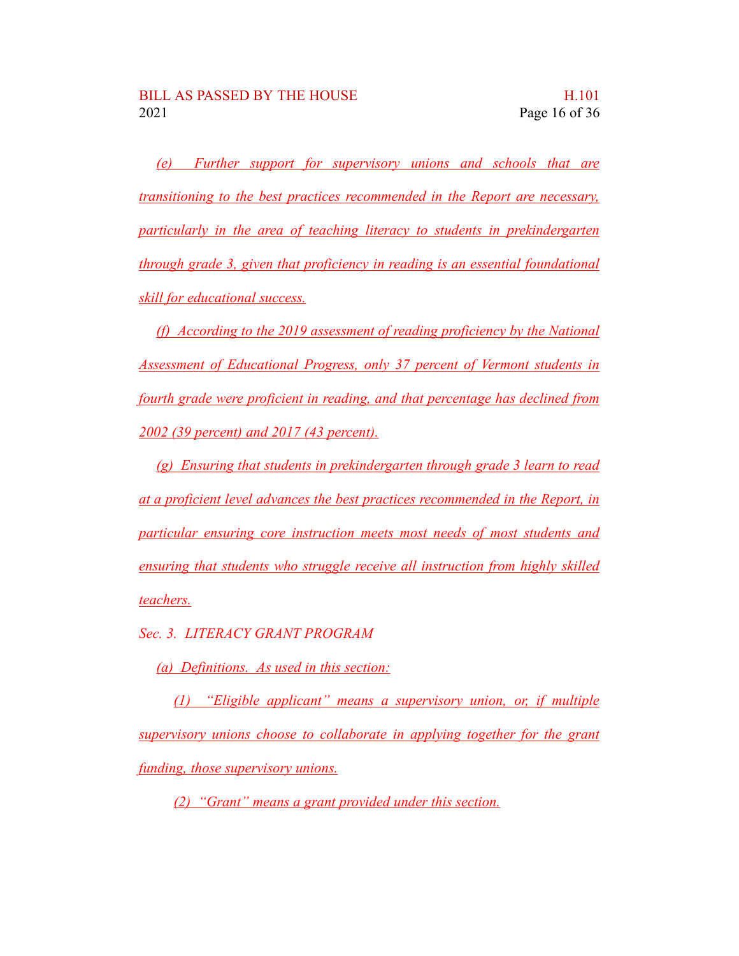*(e) Further support for supervisory unions and schools that are transitioning to the best practices recommended in the Report are necessary, particularly in the area of teaching literacy to students in prekindergarten through grade 3, given that proficiency in reading is an essential foundational skill for educational success.*

*(f) According to the 2019 assessment of reading proficiency by the National Assessment of Educational Progress, only 37 percent of Vermont students in fourth grade were proficient in reading, and that percentage has declined from 2002 (39 percent) and 2017 (43 percent).*

*(g) Ensuring that students in prekindergarten through grade 3 learn to read at a proficient level advances the best practices recommended in the Report, in particular ensuring core instruction meets most needs of most students and ensuring that students who struggle receive all instruction from highly skilled teachers.*

*Sec. 3. LITERACY GRANT PROGRAM*

*(a) Definitions. As used in this section:*

*(1) "Eligible applicant" means a supervisory union, or, if multiple supervisory unions choose to collaborate in applying together for the grant funding, those supervisory unions.*

*(2) "Grant" means a grant provided under this section.*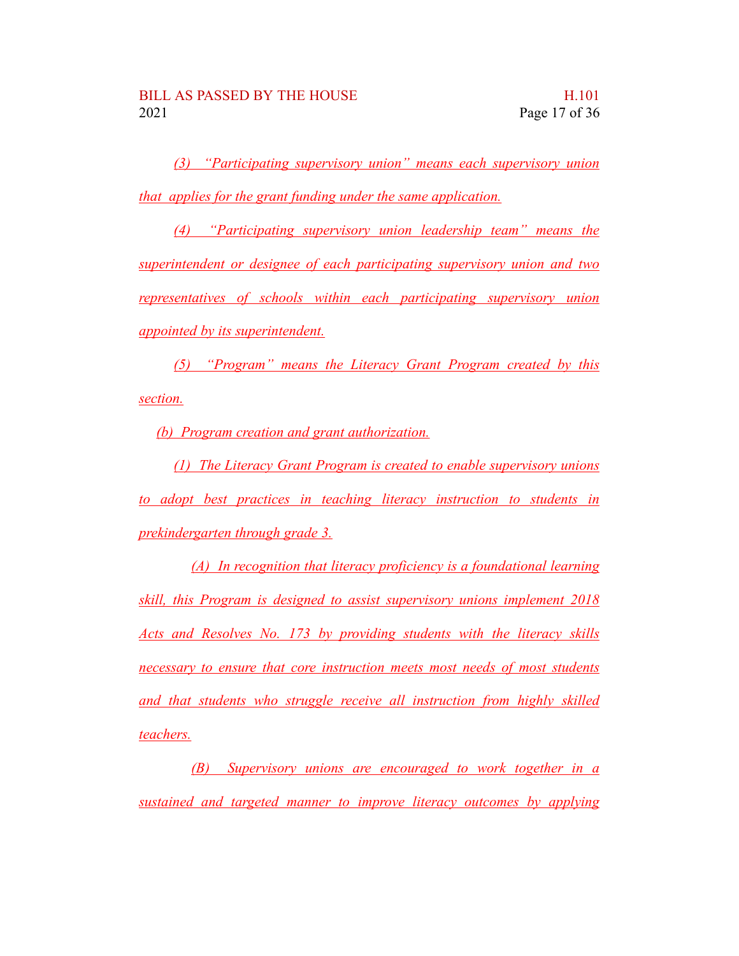*(3) "Participating supervisory union" means each supervisory union that applies for the grant funding under the same application.*

*(4) "Participating supervisory union leadership team" means the superintendent or designee of each participating supervisory union and two representatives of schools within each participating supervisory union appointed by its superintendent.*

*(5) "Program" means the Literacy Grant Program created by this section.*

*(b) Program creation and grant authorization.*

*(1) The Literacy Grant Program is created to enable supervisory unions to adopt best practices in teaching literacy instruction to students in prekindergarten through grade 3.*

*(A) In recognition that literacy proficiency is a foundational learning skill, this Program is designed to assist supervisory unions implement 2018 Acts and Resolves No. 173 by providing students with the literacy skills necessary to ensure that core instruction meets most needs of most students and that students who struggle receive all instruction from highly skilled teachers.*

*(B) Supervisory unions are encouraged to work together in a sustained and targeted manner to improve literacy outcomes by applying*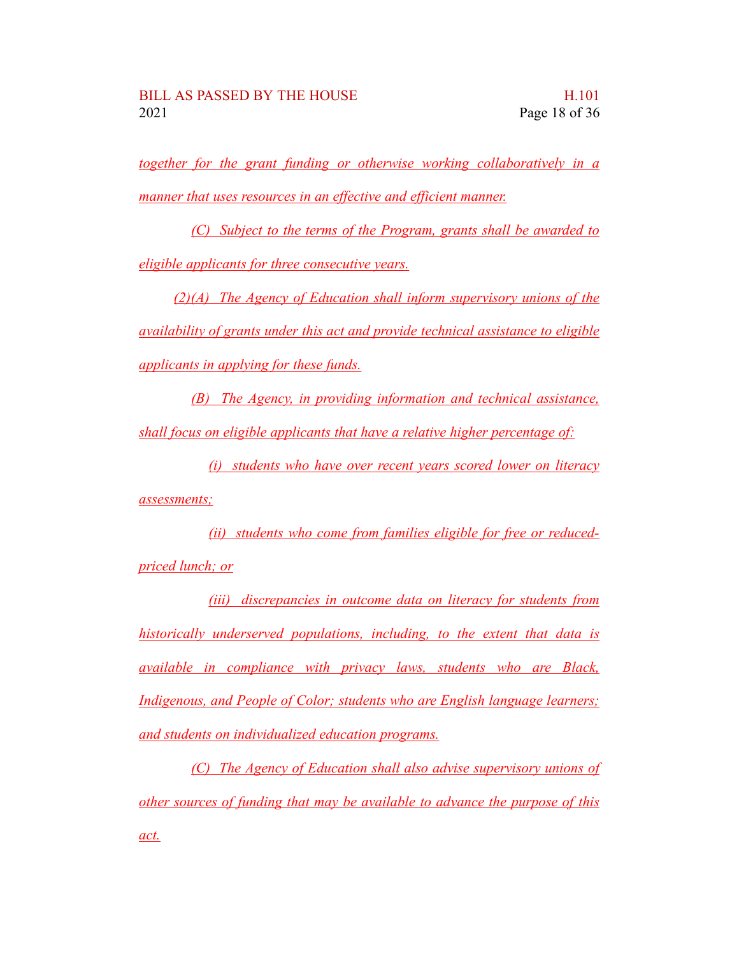*together for the grant funding or otherwise working collaboratively in a manner that uses resources in an effective and efficient manner.*

*(C) Subject to the terms of the Program, grants shall be awarded to eligible applicants for three consecutive years.*

*(2)(A) The Agency of Education shall inform supervisory unions of the availability of grants under this act and provide technical assistance to eligible applicants in applying for these funds.*

*(B) The Agency, in providing information and technical assistance, shall focus on eligible applicants that have a relative higher percentage of:*

*(i) students who have over recent years scored lower on literacy assessments;*

*(ii) students who come from families eligible for free or reducedpriced lunch; or*

*(iii) discrepancies in outcome data on literacy for students from historically underserved populations, including, to the extent that data is available in compliance with privacy laws, students who are Black, Indigenous, and People of Color; students who are English language learners; and students on individualized education programs.*

*(C) The Agency of Education shall also advise supervisory unions of other sources of funding that may be available to advance the purpose of this act.*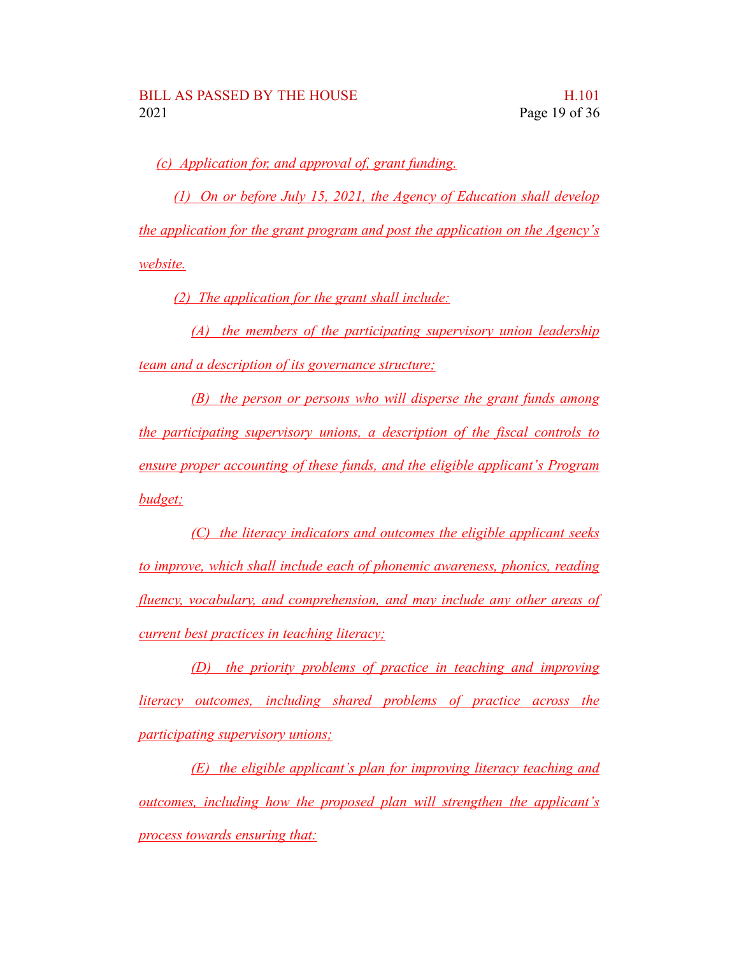*(c) Application for, and approval of, grant funding.*

*(1) On or before July 15, 2021, the Agency of Education shall develop the application for the grant program and post the application on the Agency's website.*

*(2) The application for the grant shall include:*

*(A) the members of the participating supervisory union leadership team and a description of its governance structure;*

*(B) the person or persons who will disperse the grant funds among the participating supervisory unions, a description of the fiscal controls to ensure proper accounting of these funds, and the eligible applicant's Program budget;*

*(C) the literacy indicators and outcomes the eligible applicant seeks to improve, which shall include each of phonemic awareness, phonics, reading fluency, vocabulary, and comprehension, and may include any other areas of current best practices in teaching literacy;*

*(D) the priority problems of practice in teaching and improving literacy outcomes, including shared problems of practice across the participating supervisory unions;*

*(E) the eligible applicant's plan for improving literacy teaching and outcomes, including how the proposed plan will strengthen the applicant's process towards ensuring that:*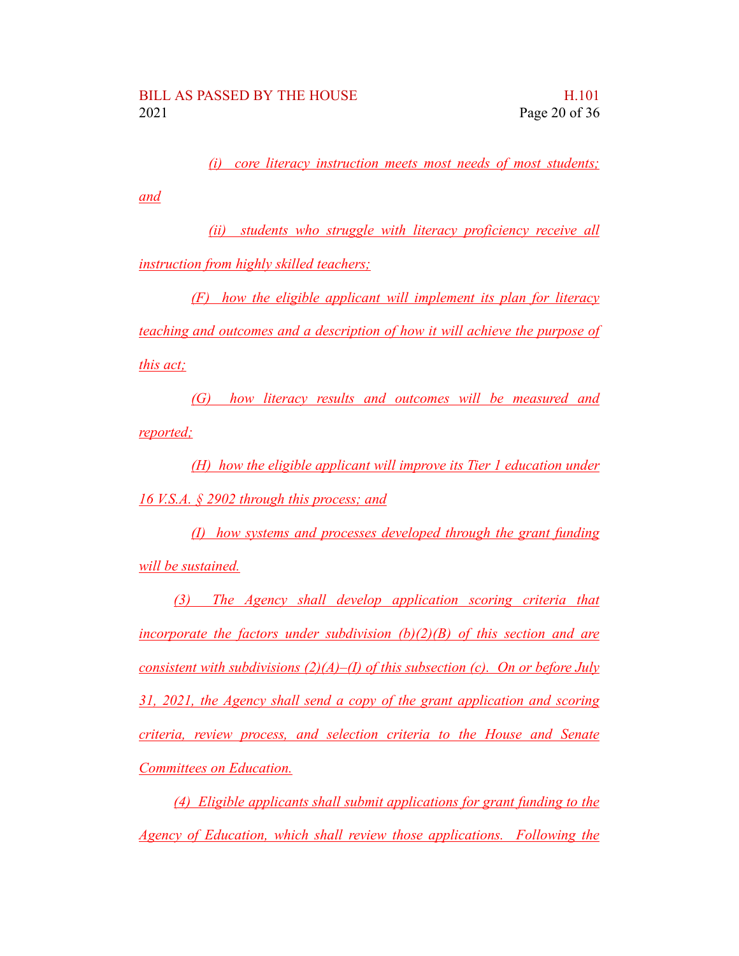*(i) core literacy instruction meets most needs of most students;*

*and*

*(ii) students who struggle with literacy proficiency receive all instruction from highly skilled teachers;*

*(F) how the eligible applicant will implement its plan for literacy teaching and outcomes and a description of how it will achieve the purpose of this act;*

*(G) how literacy results and outcomes will be measured and reported;*

*(H) how the eligible applicant will improve its Tier 1 education under 16 V.S.A. § 2902 through this process; and*

*(I) how systems and processes developed through the grant funding will be sustained.*

*(3) The Agency shall develop application scoring criteria that incorporate the factors under subdivision (b)(2)(B) of this section and are consistent with subdivisions (2)(A)–(I) of this subsection (c). On or before July 31, 2021, the Agency shall send a copy of the grant application and scoring criteria, review process, and selection criteria to the House and Senate Committees on Education.*

*(4) Eligible applicants shall submit applications for grant funding to the Agency of Education, which shall review those applications. Following the*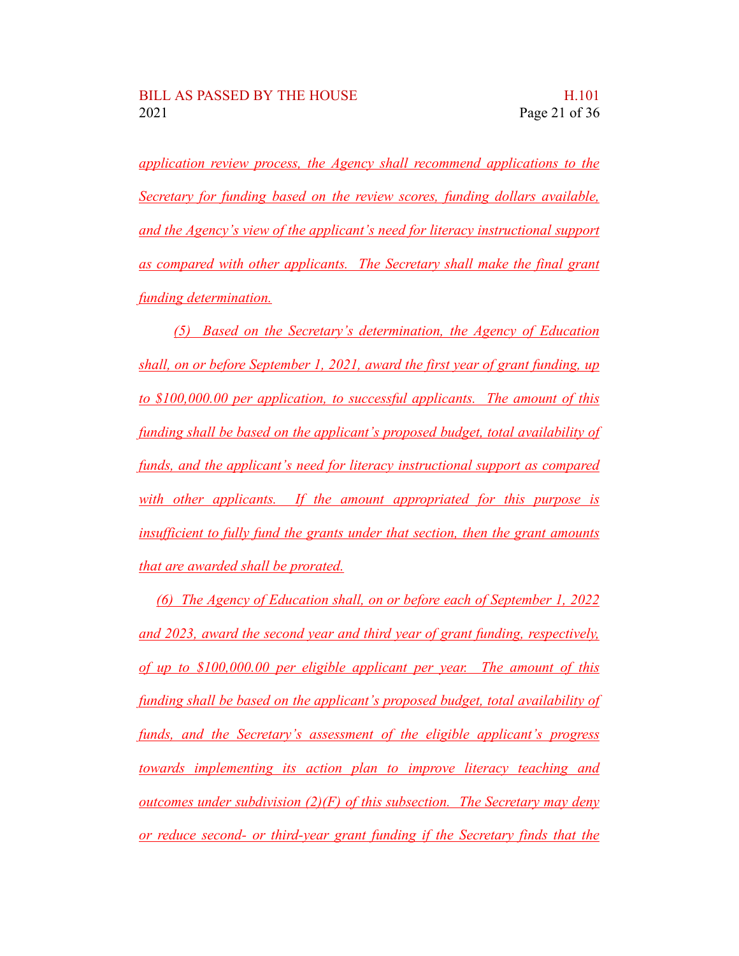*application review process, the Agency shall recommend applications to the Secretary for funding based on the review scores, funding dollars available, and the Agency's view of the applicant's need for literacy instructional support as compared with other applicants. The Secretary shall make the final grant funding determination.*

*(5) Based on the Secretary's determination, the Agency of Education shall, on or before September 1, 2021, award the first year of grant funding, up to \$100,000.00 per application, to successful applicants. The amount of this funding shall be based on the applicant's proposed budget, total availability of funds, and the applicant's need for literacy instructional support as compared with other applicants. If the amount appropriated for this purpose is insufficient to fully fund the grants under that section, then the grant amounts that are awarded shall be prorated.*

*(6) The Agency of Education shall, on or before each of September 1, 2022 and 2023, award the second year and third year of grant funding, respectively, of up to \$100,000.00 per eligible applicant per year. The amount of this funding shall be based on the applicant's proposed budget, total availability of funds, and the Secretary's assessment of the eligible applicant's progress towards implementing its action plan to improve literacy teaching and outcomes under subdivision (2)(F) of this subsection. The Secretary may deny or reduce second- or third-year grant funding if the Secretary finds that the*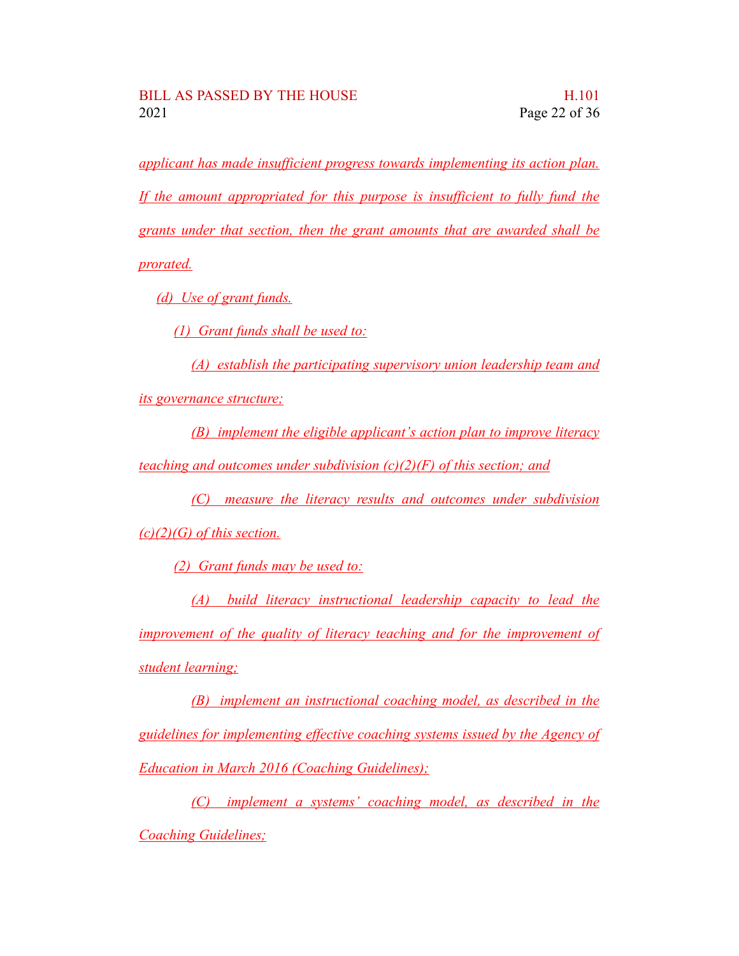*applicant has made insufficient progress towards implementing its action plan. If the amount appropriated for this purpose is insufficient to fully fund the grants under that section, then the grant amounts that are awarded shall be prorated.*

*(d) Use of grant funds.*

*(1) Grant funds shall be used to:*

*(A) establish the participating supervisory union leadership team and*

*its governance structure;*

*(B) implement the eligible applicant's action plan to improve literacy teaching and outcomes under subdivision (c)(2)(F) of this section; and*

*(C) measure the literacy results and outcomes under subdivision*

*(c)(2)(G) of this section.*

*(2) Grant funds may be used to:*

*(A) build literacy instructional leadership capacity to lead the improvement of the quality of literacy teaching and for the improvement of student learning;*

*(B) implement an instructional coaching model, as described in the guidelines for implementing effective coaching systems issued by the Agency of Education in March 2016 (Coaching Guidelines);*

*(C) implement a systems' coaching model, as described in the Coaching Guidelines;*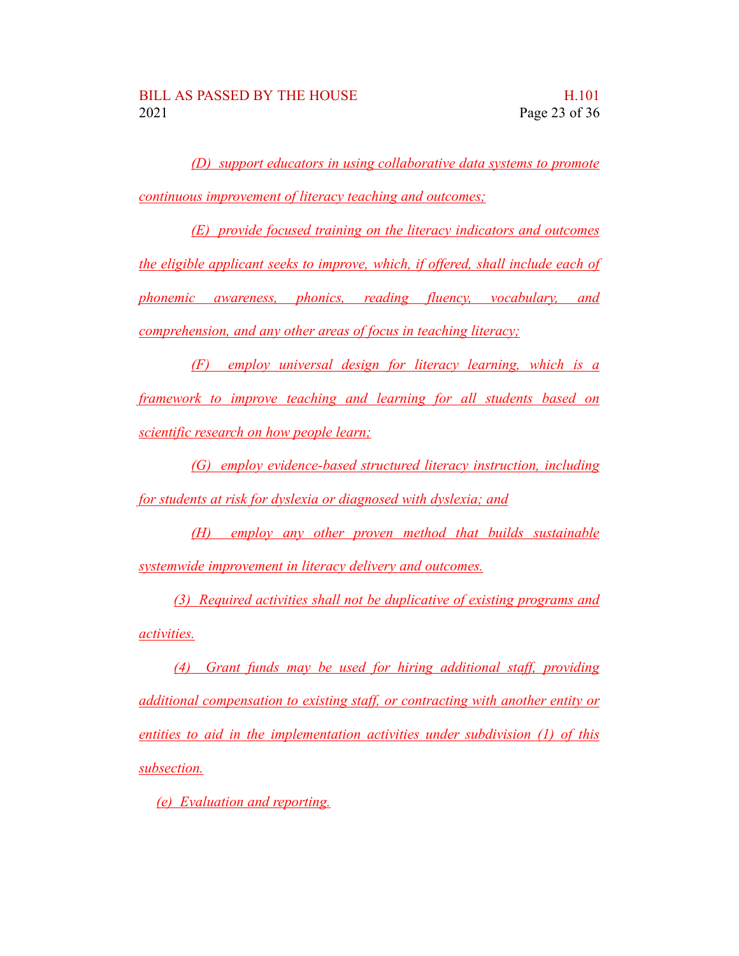*(D) support educators in using collaborative data systems to promote continuous improvement of literacy teaching and outcomes;*

*(E) provide focused training on the literacy indicators and outcomes the eligible applicant seeks to improve, which, if offered, shall include each of phonemic awareness, phonics, reading fluency, vocabulary, and comprehension, and any other areas of focus in teaching literacy;*

*(F) employ universal design for literacy learning, which is a framework to improve teaching and learning for all students based on scientific research on how people learn;*

*(G) employ evidence-based structured literacy instruction, including for students at risk for dyslexia or diagnosed with dyslexia; and*

*(H) employ any other proven method that builds sustainable systemwide improvement in literacy delivery and outcomes.*

*(3) Required activities shall not be duplicative of existing programs and activities.*

*(4) Grant funds may be used for hiring additional staff, providing additional compensation to existing staff, or contracting with another entity or entities to aid in the implementation activities under subdivision (1) of this subsection.*

*(e) Evaluation and reporting.*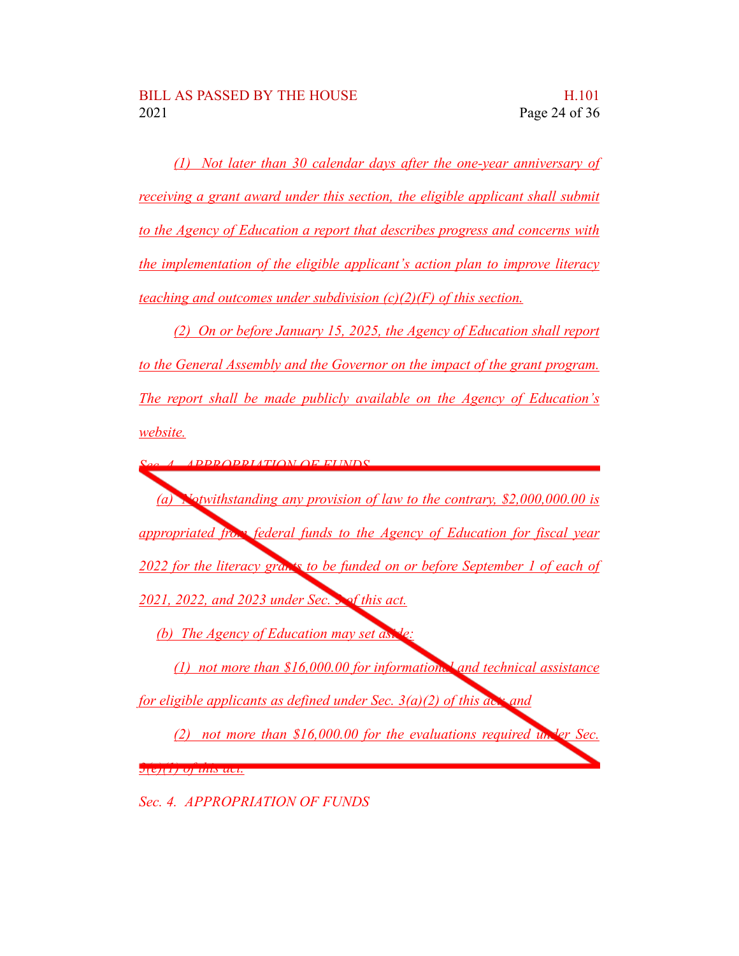*(1) Not later than 30 calendar days after the one-year anniversary of receiving a grant award under this section, the eligible applicant shall submit to the Agency of Education a report that describes progress and concerns with the implementation of the eligible applicant's action plan to improve literacy teaching and outcomes under subdivision (c)(2)(F) of this section.*

*(2) On or before January 15, 2025, the Agency of Education shall report to the General Assembly and the Governor on the impact of the grant program. The report shall be made publicly available on the Agency of Education's website.*

*Sec. 4. APPROPRIATION OF FUNDS*

*(a) Notwithstanding any provision of law to the contrary, \$2,000,000.00 is appropriated from federal funds to the Agency of Education for fiscal year 2022 for the literacy grants to be funded on or before September 1 of each of 2021, 2022, and 2023 under Sec. 3 of this act.*

*(b) The Agency of Education may set aside* 

*(1) not more than \$16,000.00 for informational and technical assistance for eligible applicants as defined under Sec. 3(a)(2) of this act; and*

*(2) not more than \$16,000.00 for the evaluations required under Sec. 3(e)(1) of this act.*

*Sec. 4. APPROPRIATION OF FUNDS*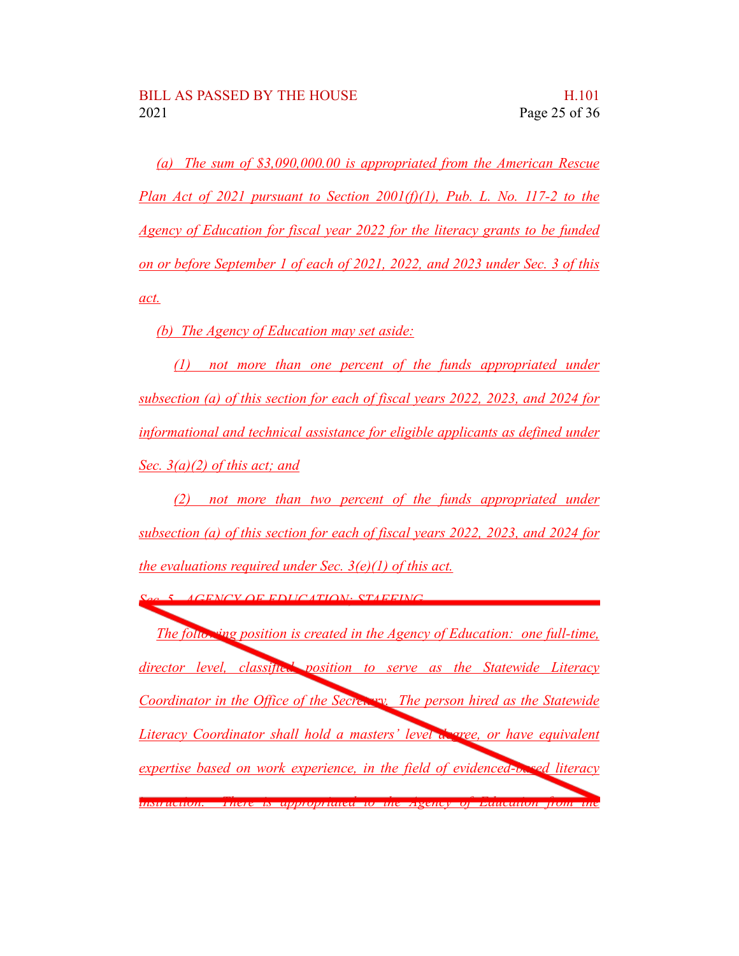*(a) The sum of \$3,090,000.00 is appropriated from the American Rescue Plan Act of 2021 pursuant to Section 2001(f)(1), Pub. L. No. 117-2 to the Agency of Education for fiscal year 2022 for the literacy grants to be funded on or before September 1 of each of 2021, 2022, and 2023 under Sec. 3 of this act.*

*(b) The Agency of Education may set aside:*

*(1) not more than one percent of the funds appropriated under subsection (a) of this section for each of fiscal years 2022, 2023, and 2024 for informational and technical assistance for eligible applicants as defined under Sec. 3(a)(2) of this act; and*

*(2) not more than two percent of the funds appropriated under subsection (a) of this section for each of fiscal years 2022, 2023, and 2024 for the evaluations required under Sec. 3(e)(1) of this act.*

*Sec. 5. AGENCY OF EDUCATION; STAFFING*

*The following position is created in the Agency of Education: one full-time, director level, classified position to serve as the Statewide Literacy Coordinator in the Office of the Secretary. The person hired as the Statewide Literacy Coordinator shall hold a masters' level degree, or have equivalent expertise based on work experience, in the field of evidenced-based literacy instruction. There is appropriated to the Agency of Education from the*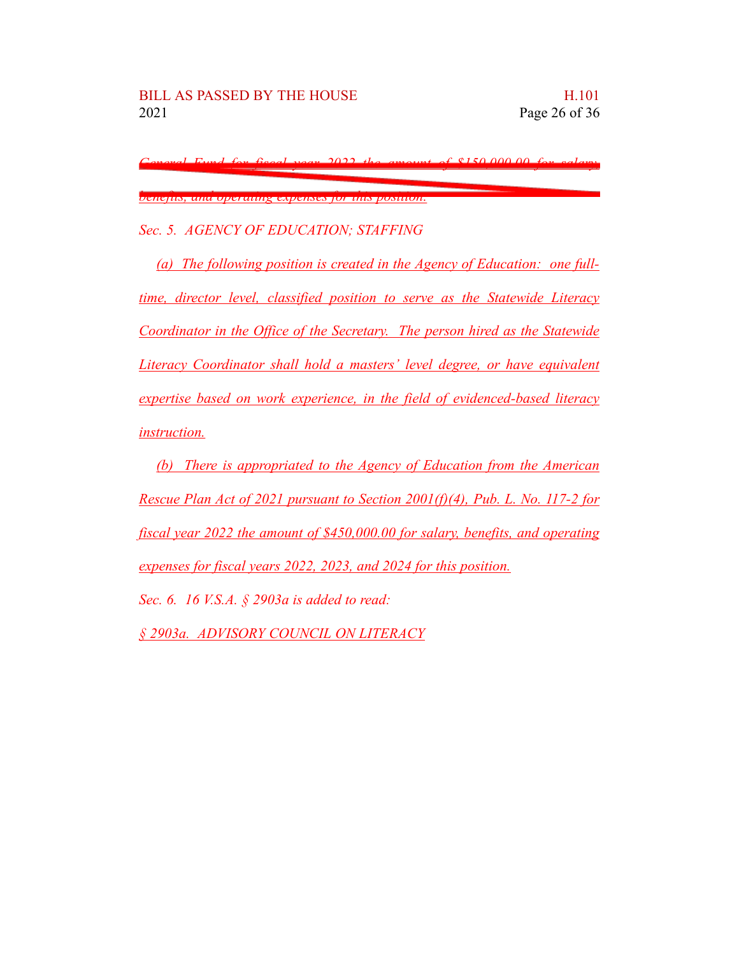*General Fund for fiscal year 2022 the amount of \$150,000.00 for salary,*

*benefits, and operating expenses for this position.*

*Sec. 5. AGENCY OF EDUCATION; STAFFING*

*(a) The following position is created in the Agency of Education: one fulltime, director level, classified position to serve as the Statewide Literacy Coordinator in the Office of the Secretary. The person hired as the Statewide Literacy Coordinator shall hold a masters' level degree, or have equivalent expertise based on work experience, in the field of evidenced-based literacy instruction.*

*(b) There is appropriated to the Agency of Education from the American Rescue Plan Act of 2021 pursuant to Section 2001(f)(4), Pub. L. No. 117-2 for fiscal year 2022 the amount of \$450,000.00 for salary, benefits, and operating expenses for fiscal years 2022, 2023, and 2024 for this position. Sec. 6. 16 V.S.A. § 2903a is added to read: § 2903a. ADVISORY COUNCIL ON LITERACY*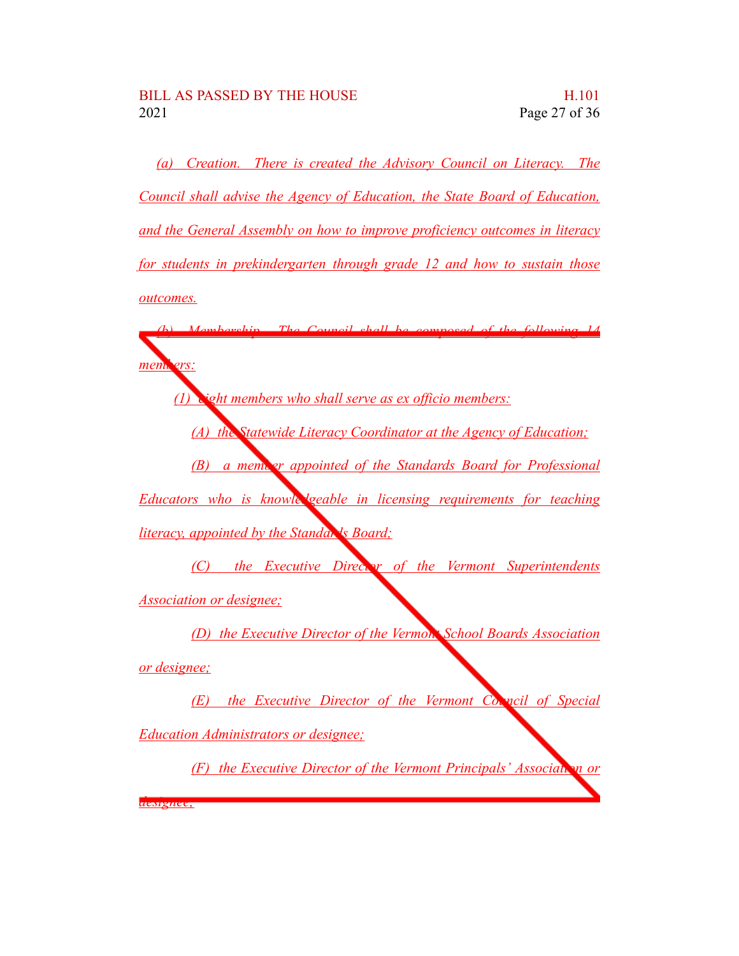*designee;*

*(a) Creation. There is created the Advisory Council on Literacy. The Council shall advise the Agency of Education, the State Board of Education, and the General Assembly on how to improve proficiency outcomes in literacy for students in prekindergarten through grade 12 and how to sustain those outcomes.*

*(b) Membership. The Council shall be composed of the following 14* mem. ers: *(1) eight members who shall serve as ex officio members: (A) the Statewide Literacy Coordinator at the Agency of Education; (B) a member appointed of the Standards Board for Professional Educators who is knowledgeable in licensing requirements for teaching literacy, appointed by the Standards Board; (C) the Executive Director of the Vermont Superintendents Association or designee; (D) the Executive Director of the Vermont School Boards Association or designee; (E) the Executive Director of the Vermont Council of Special Education Administrators or designee; (F) the Executive Director of the Vermont Principals' Association or*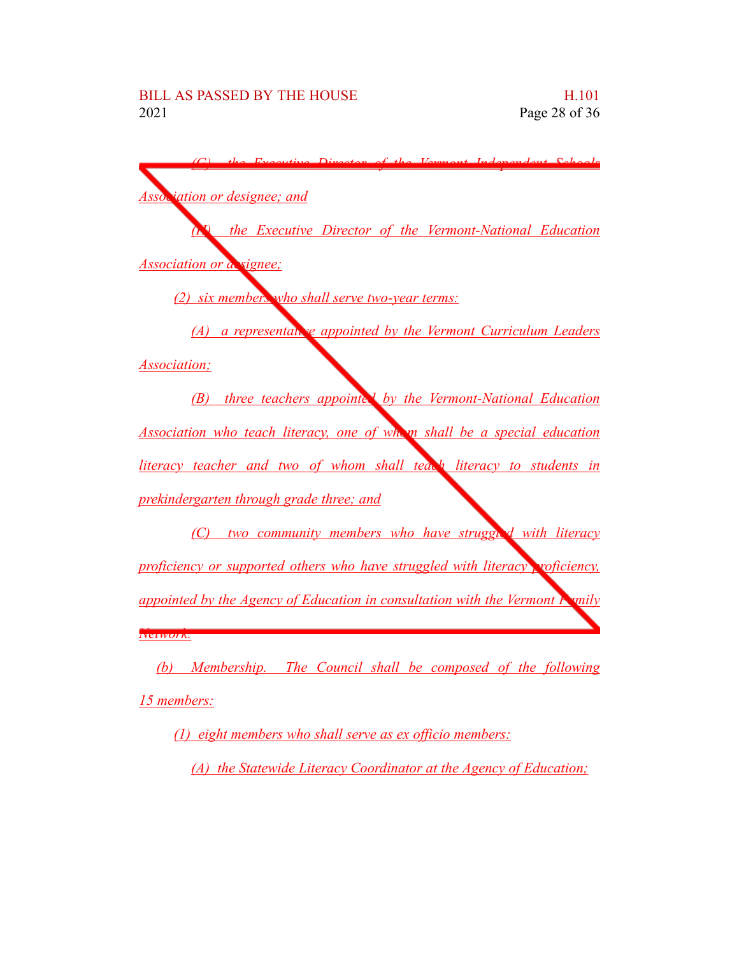| Diverter of the Vermont Independent Cehools<br>$E_{1200}$                                                                                                                                                                                                                                                         |
|-------------------------------------------------------------------------------------------------------------------------------------------------------------------------------------------------------------------------------------------------------------------------------------------------------------------|
|                                                                                                                                                                                                                                                                                                                   |
| <b>Association or designee; and</b>                                                                                                                                                                                                                                                                               |
| the Executive Director of the Vermont-National Education                                                                                                                                                                                                                                                          |
| <b>Association or a signee;</b>                                                                                                                                                                                                                                                                                   |
| (2) six members who shall serve two-year terms:                                                                                                                                                                                                                                                                   |
| (A) a representally appointed by the Vermont Curriculum Leaders                                                                                                                                                                                                                                                   |
| <i>Association</i> ;                                                                                                                                                                                                                                                                                              |
| (B) three teachers appoints by the Vermont-National Education                                                                                                                                                                                                                                                     |
| Association who teach literacy, one of whom shall be a special education                                                                                                                                                                                                                                          |
| literacy teacher and two of whom shall teach literacy to students in                                                                                                                                                                                                                                              |
| prekindergarten through grade three; and                                                                                                                                                                                                                                                                          |
| two community members who have strugged with literacy<br>(C)                                                                                                                                                                                                                                                      |
| proficiency or supported others who have struggled with literacy voficiency,                                                                                                                                                                                                                                      |
| appointed by the Agency of Education in consultation with the Vermont <b>Foundy</b>                                                                                                                                                                                                                               |
| <b>IVELWUIK.</b>                                                                                                                                                                                                                                                                                                  |
| $\mathcal{A}$ and $\mathcal{A}$ and $\mathcal{A}$ and $\mathcal{A}$ and $\mathcal{A}$ and $\mathcal{A}$ and $\mathcal{A}$ and $\mathcal{A}$ and $\mathcal{A}$ and $\mathcal{A}$ and $\mathcal{A}$ and $\mathcal{A}$ and $\mathcal{A}$ and $\mathcal{A}$ and $\mathcal{A}$ and $\mathcal{A}$ and $\mathcal{A}$ and |

*(b) Membership. The Council shall be composed of the following 15 members:*

*(1) eight members who shall serve as ex officio members:*

*(A) the Statewide Literacy Coordinator at the Agency of Education;*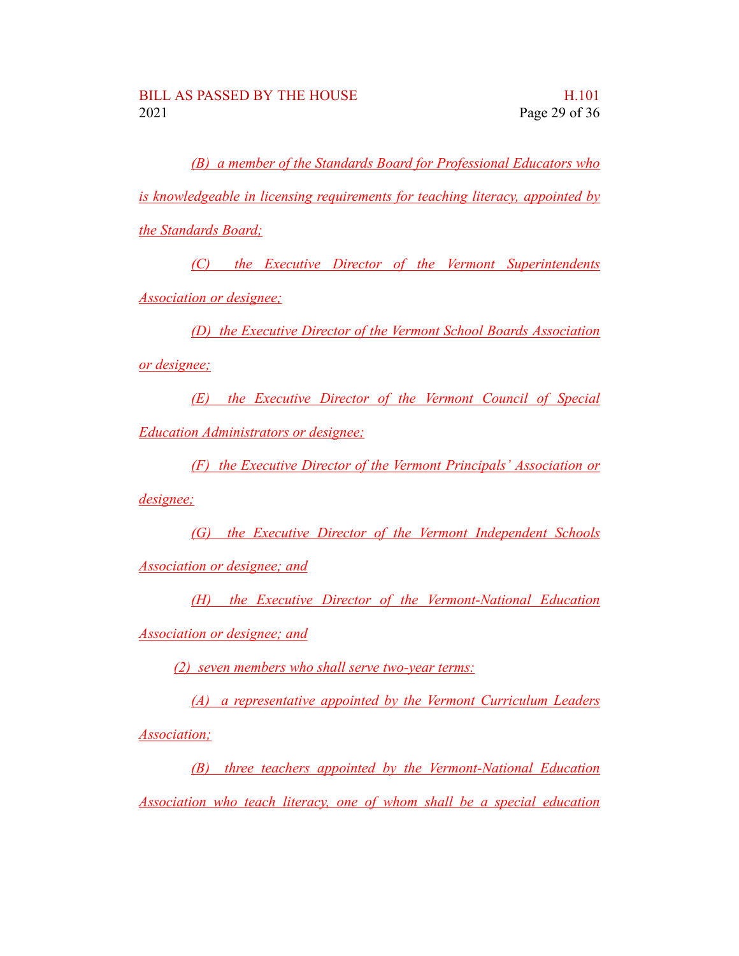*(B) a member of the Standards Board for Professional Educators who is knowledgeable in licensing requirements for teaching literacy, appointed by the Standards Board;*

*(C) the Executive Director of the Vermont Superintendents Association or designee;*

*(D) the Executive Director of the Vermont School Boards Association or designee;*

*(E) the Executive Director of the Vermont Council of Special Education Administrators or designee;*

*(F) the Executive Director of the Vermont Principals' Association or*

*designee;*

*(G) the Executive Director of the Vermont Independent Schools Association or designee; and*

*(H) the Executive Director of the Vermont-National Education*

*Association or designee; and*

*(2) seven members who shall serve two-year terms:*

*(A) a representative appointed by the Vermont Curriculum Leaders Association;*

*(B) three teachers appointed by the Vermont-National Education Association who teach literacy, one of whom shall be a special education*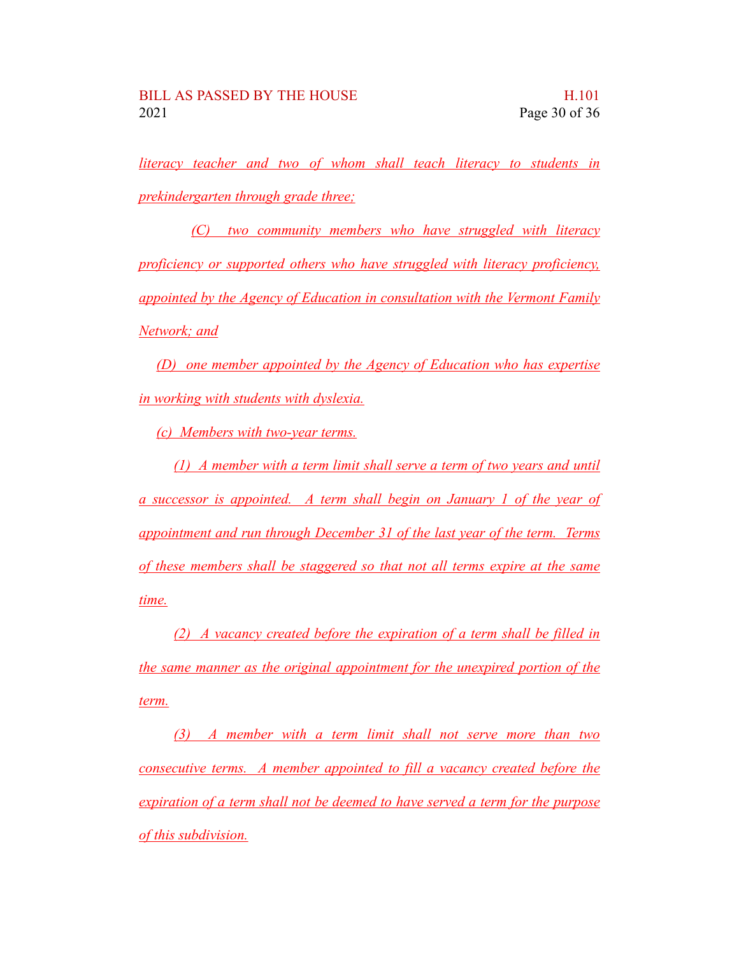*literacy teacher and two of whom shall teach literacy to students in prekindergarten through grade three;*

*(C) two community members who have struggled with literacy proficiency or supported others who have struggled with literacy proficiency, appointed by the Agency of Education in consultation with the Vermont Family Network; and*

*(D) one member appointed by the Agency of Education who has expertise in working with students with dyslexia.*

*(c) Members with two-year terms.*

*(1) A member with a term limit shall serve a term of two years and until a successor is appointed. A term shall begin on January 1 of the year of appointment and run through December 31 of the last year of the term. Terms of these members shall be staggered so that not all terms expire at the same time.*

*(2) A vacancy created before the expiration of a term shall be filled in the same manner as the original appointment for the unexpired portion of the term.*

*(3) A member with a term limit shall not serve more than two consecutive terms. A member appointed to fill a vacancy created before the expiration of a term shall not be deemed to have served a term for the purpose of this subdivision.*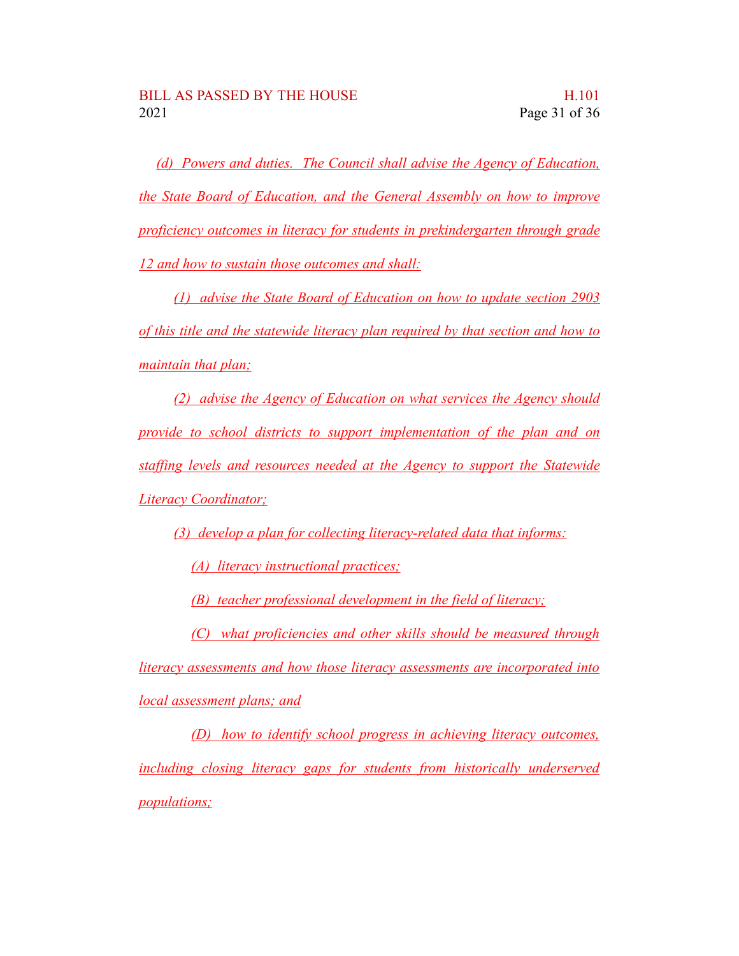*(d) Powers and duties. The Council shall advise the Agency of Education, the State Board of Education, and the General Assembly on how to improve proficiency outcomes in literacy for students in prekindergarten through grade 12 and how to sustain those outcomes and shall:*

*(1) advise the State Board of Education on how to update section 2903 of this title and the statewide literacy plan required by that section and how to maintain that plan;*

*(2) advise the Agency of Education on what services the Agency should provide to school districts to support implementation of the plan and on staffing levels and resources needed at the Agency to support the Statewide Literacy Coordinator;*

*(3) develop a plan for collecting literacy-related data that informs:*

*(A) literacy instructional practices;*

*(B) teacher professional development in the field of literacy;*

*(C) what proficiencies and other skills should be measured through literacy assessments and how those literacy assessments are incorporated into local assessment plans; and*

*(D) how to identify school progress in achieving literacy outcomes, including closing literacy gaps for students from historically underserved populations;*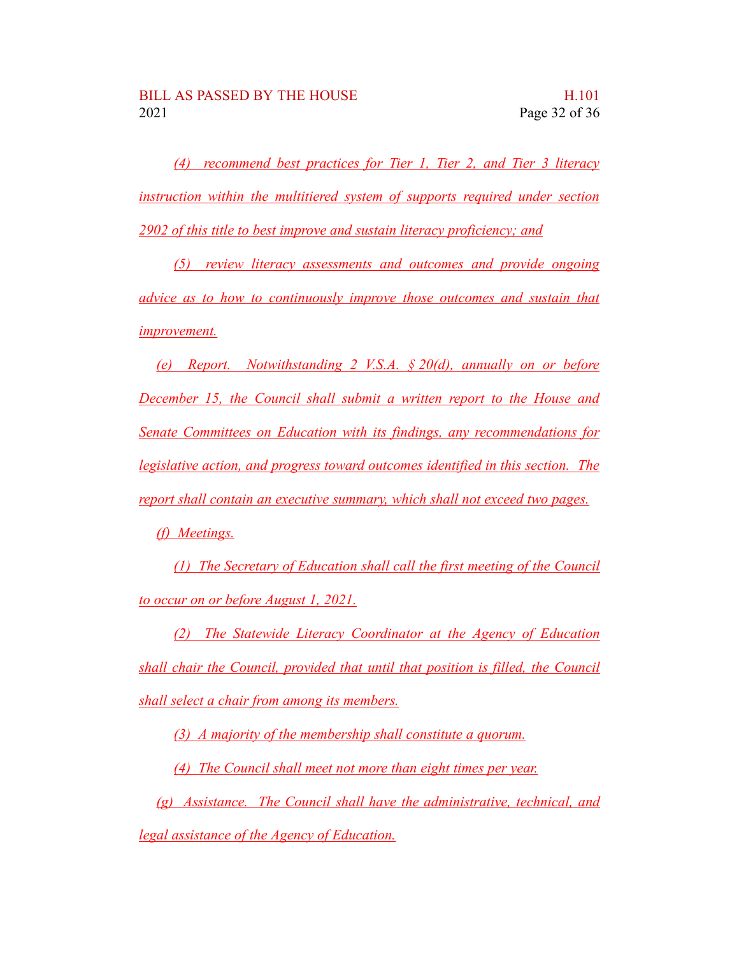*(4) recommend best practices for Tier 1, Tier 2, and Tier 3 literacy instruction within the multitiered system of supports required under section 2902 of this title to best improve and sustain literacy proficiency; and*

*(5) review literacy assessments and outcomes and provide ongoing advice as to how to continuously improve those outcomes and sustain that improvement.*

*(e) Report. Notwithstanding 2 V.S.A. § 20(d), annually on or before December 15, the Council shall submit a written report to the House and Senate Committees on Education with its findings, any recommendations for legislative action, and progress toward outcomes identified in this section. The report shall contain an executive summary, which shall not exceed two pages.*

*(f) Meetings.*

*(1) The Secretary of Education shall call the first meeting of the Council to occur on or before August 1, 2021.*

*(2) The Statewide Literacy Coordinator at the Agency of Education shall chair the Council, provided that until that position is filled, the Council shall select a chair from among its members.*

*(3) A majority of the membership shall constitute a quorum.*

*(4) The Council shall meet not more than eight times per year.*

*(g) Assistance. The Council shall have the administrative, technical, and legal assistance of the Agency of Education.*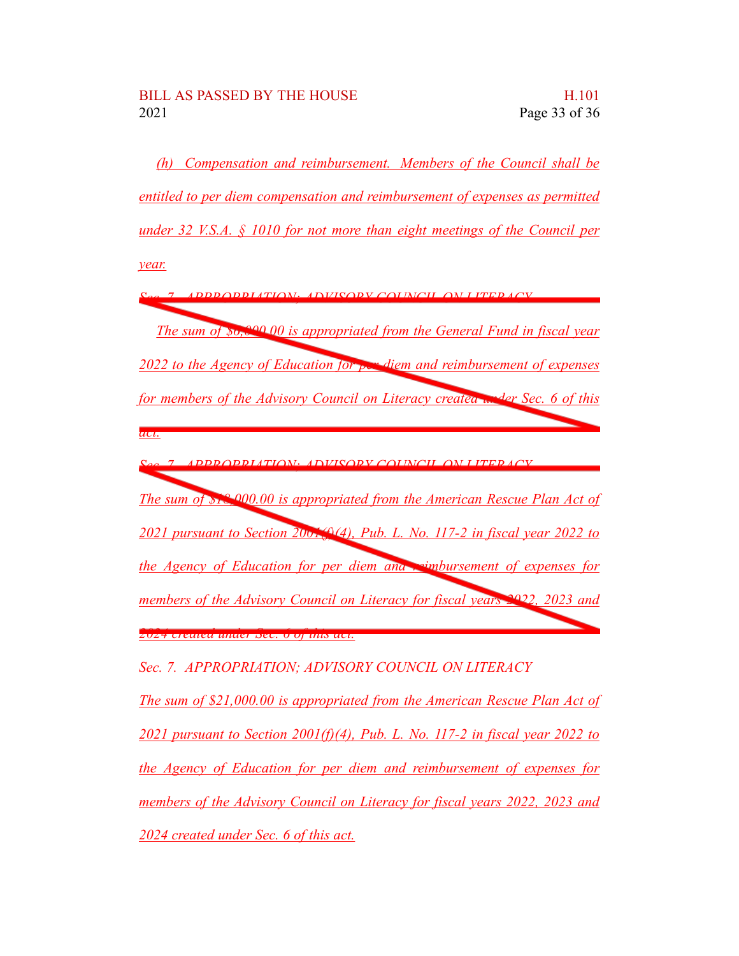*(h) Compensation and reimbursement. Members of the Council shall be entitled to per diem compensation and reimbursement of expenses as permitted under 32 V.S.A. § 1010 for not more than eight meetings of the Council per year.*

*Sec. 7. APPROPRIATION; ADVISORY COUNCIL ON LITERACY The sum of \$6,000.00 is appropriated from the General Fund in fiscal year 2022 to the Agency of Education for per diem and reimbursement of expenses for members of the Advisory Council on Literacy created under Sec. 6 of this act. Sec. 7. APPROPRIATION; ADVISORY COUNCIL ON LITERACY The sum of \$18,000.00 is appropriated from the American Rescue Plan Act of 2021 pursuant to Section 2001(f)(4), Pub. L. No. 117-2 in fiscal year 2022 to the Agency of Education for per diem and reimbursement of expenses for members of the Advisory Council on Literacy for fiscal years 2022, 2023 and 2024 created under Sec. 6 of this act.*

*Sec. 7. APPROPRIATION; ADVISORY COUNCIL ON LITERACY*

*The sum of \$21,000.00 is appropriated from the American Rescue Plan Act of 2021 pursuant to Section 2001(f)(4), Pub. L. No. 117-2 in fiscal year 2022 to the Agency of Education for per diem and reimbursement of expenses for members of the Advisory Council on Literacy for fiscal years 2022, 2023 and 2024 created under Sec. 6 of this act.*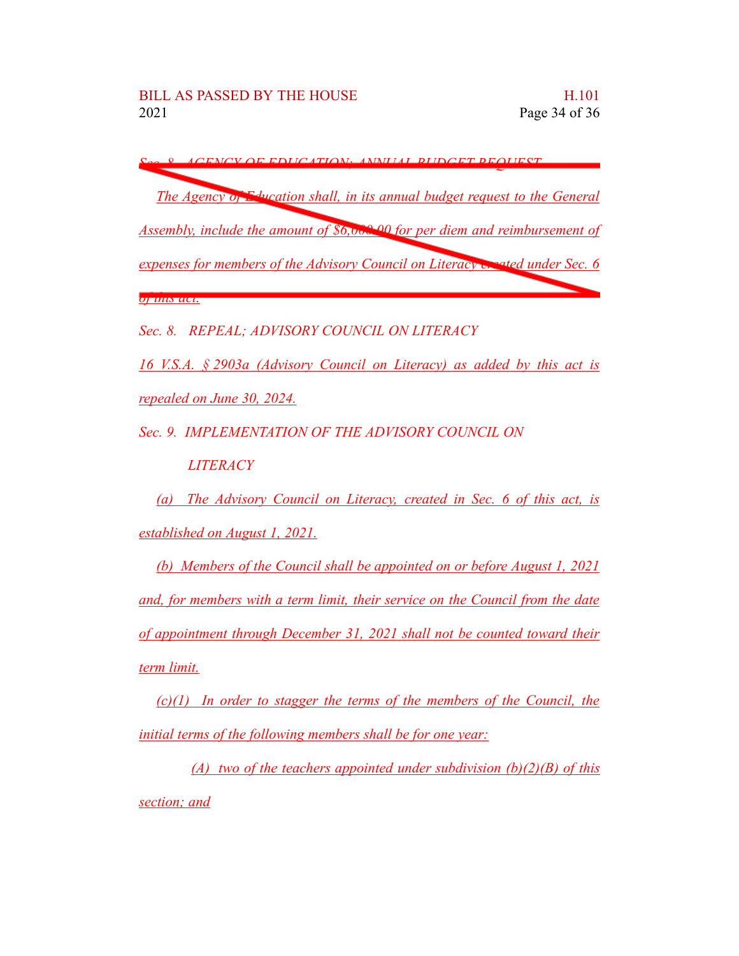*Sec. 8. AGENCY OF EDUCATION; ANNUAL BUDGET REQUEST The Agency of Education shall, in its annual budget request to the General Assembly, include the amount of \$6,000.00 for per diem and reimbursement of expenses for members of the Advisory Council on Literacy created under Sec. 6 of this act.*

*Sec. 8. REPEAL; ADVISORY COUNCIL ON LITERACY*

*16 V.S.A. § 2903a (Advisory Council on Literacy) as added by this act is repealed on June 30, 2024.*

*Sec. 9. IMPLEMENTATION OF THE ADVISORY COUNCIL ON*

*LITERACY*

*(a) The Advisory Council on Literacy, created in Sec. 6 of this act, is established on August 1, 2021.*

*(b) Members of the Council shall be appointed on or before August 1, 2021 and, for members with a term limit, their service on the Council from the date of appointment through December 31, 2021 shall not be counted toward their term limit.*

*(c)(1) In order to stagger the terms of the members of the Council, the initial terms of the following members shall be for one year:*

*(A) two of the teachers appointed under subdivision (b)(2)(B) of this section; and*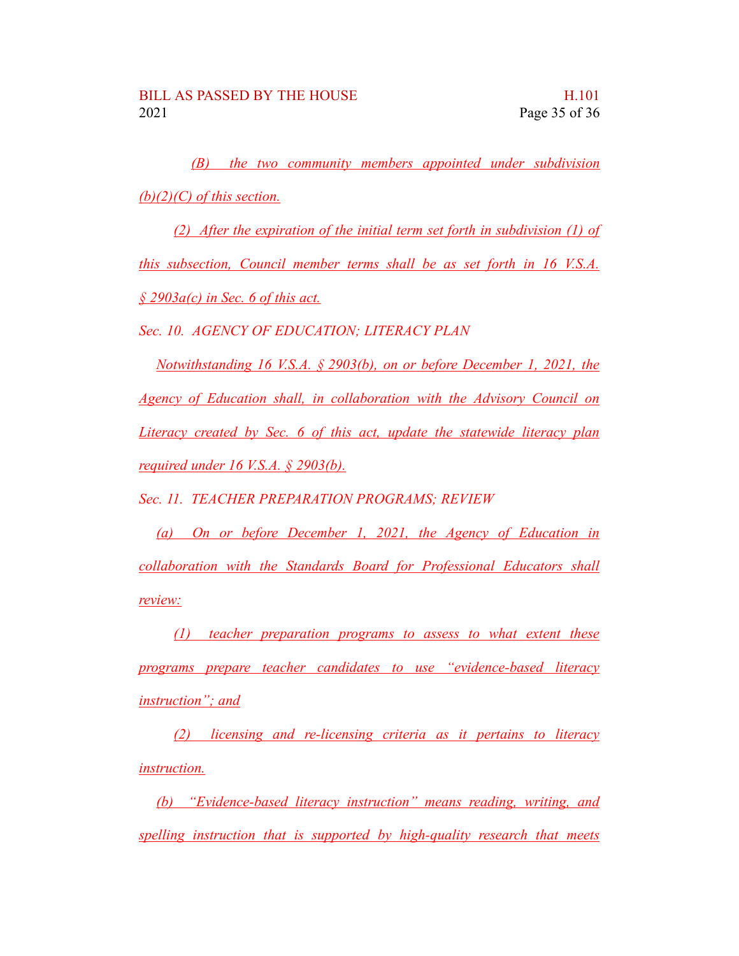*(B) the two community members appointed under subdivision (b)(2)(C) of this section.*

*(2) After the expiration of the initial term set forth in subdivision (1) of this subsection, Council member terms shall be as set forth in 16 V.S.A. § 2903a(c) in Sec. 6 of this act.*

*Sec. 10. AGENCY OF EDUCATION; LITERACY PLAN*

*Notwithstanding 16 V.S.A. § 2903(b), on or before December 1, 2021, the Agency of Education shall, in collaboration with the Advisory Council on Literacy created by Sec. 6 of this act, update the statewide literacy plan required under 16 V.S.A. § 2903(b).*

*Sec. 11. TEACHER PREPARATION PROGRAMS; REVIEW*

*(a) On or before December 1, 2021, the Agency of Education in collaboration with the Standards Board for Professional Educators shall review:*

*(1) teacher preparation programs to assess to what extent these programs prepare teacher candidates to use "evidence-based literacy instruction"; and*

*(2) licensing and re-licensing criteria as it pertains to literacy instruction.*

*(b) "Evidence-based literacy instruction" means reading, writing, and spelling instruction that is supported by high-quality research that meets*